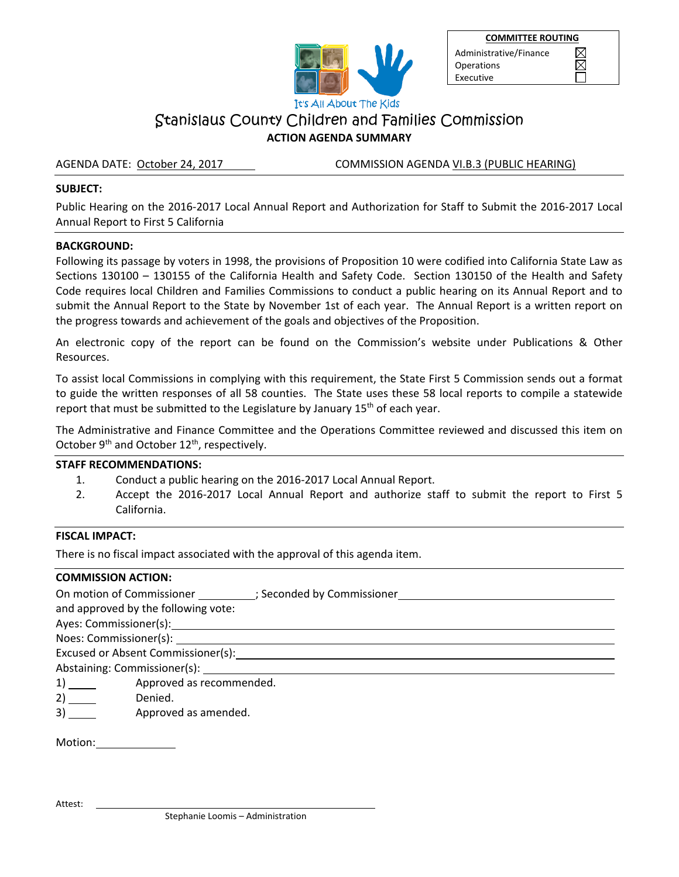

# Stanislaus County Children and Families Commission **ACTION AGENDA SUMMARY**

AGENDA DATE: October 24, 2017 COMMISSION AGENDA VI.B.3 (PUBLIC HEARING)

#### **SUBJECT:**

Public Hearing on the 2016‐2017 Local Annual Report and Authorization for Staff to Submit the 2016‐2017 Local Annual Report to First 5 California

#### **BACKGROUND:**

Following its passage by voters in 1998, the provisions of Proposition 10 were codified into California State Law as Sections 130100 - 130155 of the California Health and Safety Code. Section 130150 of the Health and Safety Code requires local Children and Families Commissions to conduct a public hearing on its Annual Report and to submit the Annual Report to the State by November 1st of each year. The Annual Report is a written report on the progress towards and achievement of the goals and objectives of the Proposition.

An electronic copy of the report can be found on the Commission's website under Publications & Other Resources.

To assist local Commissions in complying with this requirement, the State First 5 Commission sends out a format to guide the written responses of all 58 counties. The State uses these 58 local reports to compile a statewide report that must be submitted to the Legislature by January 15<sup>th</sup> of each year.

The Administrative and Finance Committee and the Operations Committee reviewed and discussed this item on October 9<sup>th</sup> and October 12<sup>th</sup>, respectively.

### **STAFF RECOMMENDATIONS:**

- 1. Conduct a public hearing on the 2016‐2017 Local Annual Report.
- 2. Accept the 2016-2017 Local Annual Report and authorize staff to submit the report to First 5 California.

#### **FISCAL IMPACT:**

There is no fiscal impact associated with the approval of this agenda item.

#### **COMMISSION ACTION:**

| On motion of Commissioner           | ; Seconded by Commissioner                                                                                                                                                                                                     |
|-------------------------------------|--------------------------------------------------------------------------------------------------------------------------------------------------------------------------------------------------------------------------------|
| and approved by the following vote: |                                                                                                                                                                                                                                |
|                                     | Ayes: Commissioner(s): Note and the set of the set of the set of the set of the set of the set of the set of the set of the set of the set of the set of the set of the set of the set of the set of the set of the set of the |
| Noes: Commissioner(s):              |                                                                                                                                                                                                                                |
| Excused or Absent Commissioner(s):  |                                                                                                                                                                                                                                |
| Abstaining: Commissioner(s):        |                                                                                                                                                                                                                                |
| Approved as recommended.            |                                                                                                                                                                                                                                |

2) Denied.

3) **Approved** as amended.

Motion: 

Attest: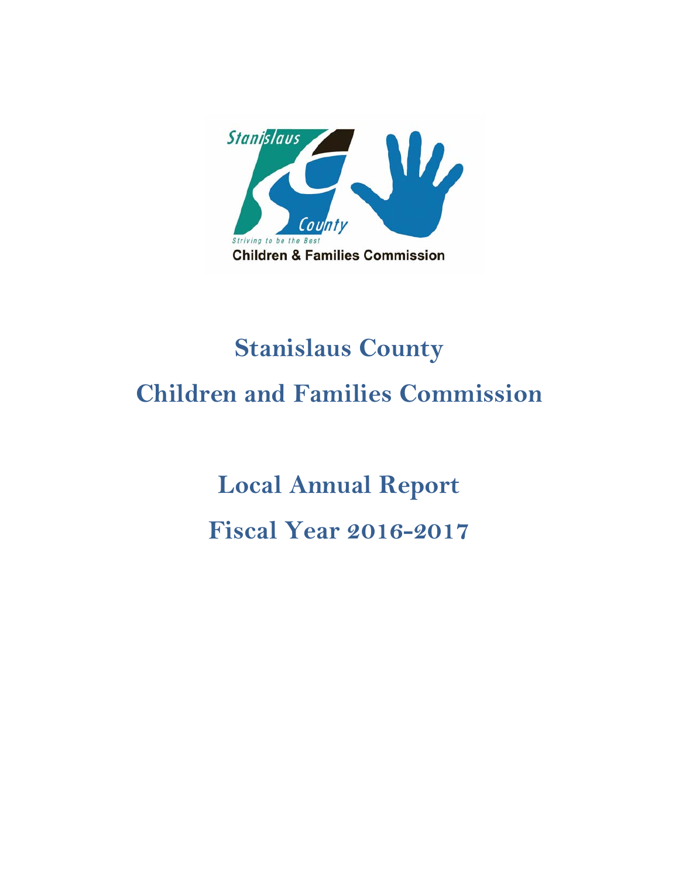

# **Stanislaus County Children and Families Commission**

# **Local Annual Report Fiscal Year 2016-2017**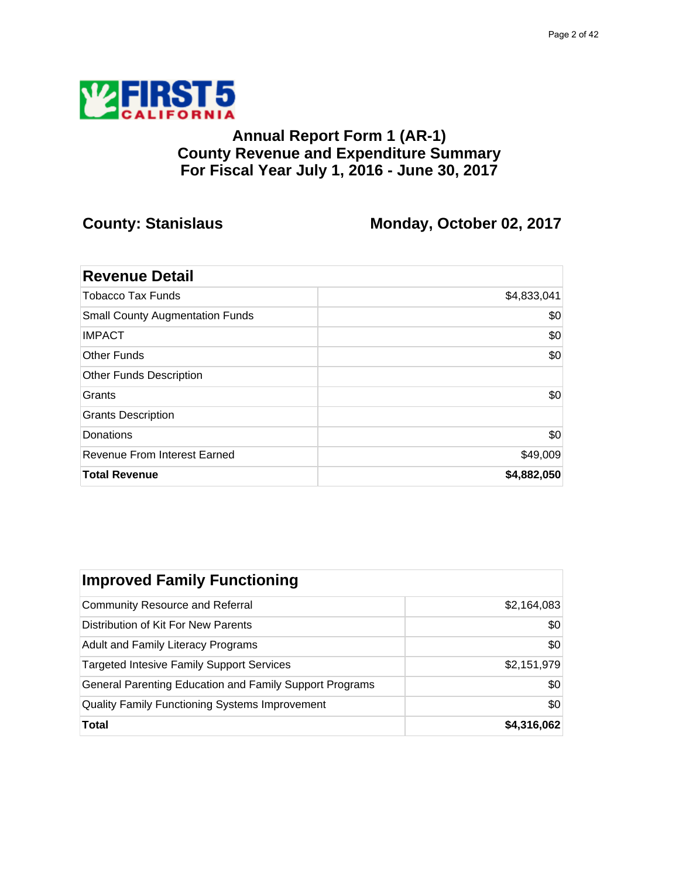

# **Annual Report Form 1 (AR-1) County Revenue and Expenditure Summary For Fiscal Year July 1, 2016 - June 30, 2017**

**County: Stanislaus Monday, October 02, 2017**

| <b>Revenue Detail</b>                  |             |
|----------------------------------------|-------------|
| <b>Tobacco Tax Funds</b>               | \$4,833,041 |
| <b>Small County Augmentation Funds</b> | \$0         |
| <b>IMPACT</b>                          | \$0         |
| <b>Other Funds</b>                     | \$0         |
| <b>Other Funds Description</b>         |             |
| Grants                                 | \$0         |
| <b>Grants Description</b>              |             |
| Donations                              | \$0         |
| <b>Revenue From Interest Earned</b>    | \$49,009    |
| <b>Total Revenue</b>                   | \$4,882,050 |

| <b>Improved Family Functioning</b>                      |             |  |
|---------------------------------------------------------|-------------|--|
| <b>Community Resource and Referral</b>                  | \$2,164,083 |  |
| Distribution of Kit For New Parents                     | \$0         |  |
| Adult and Family Literacy Programs                      | \$0         |  |
| <b>Targeted Intesive Family Support Services</b>        | \$2,151,979 |  |
| General Parenting Education and Family Support Programs | \$0         |  |
| <b>Quality Family Functioning Systems Improvement</b>   | \$0         |  |
| <b>Total</b>                                            | \$4,316,062 |  |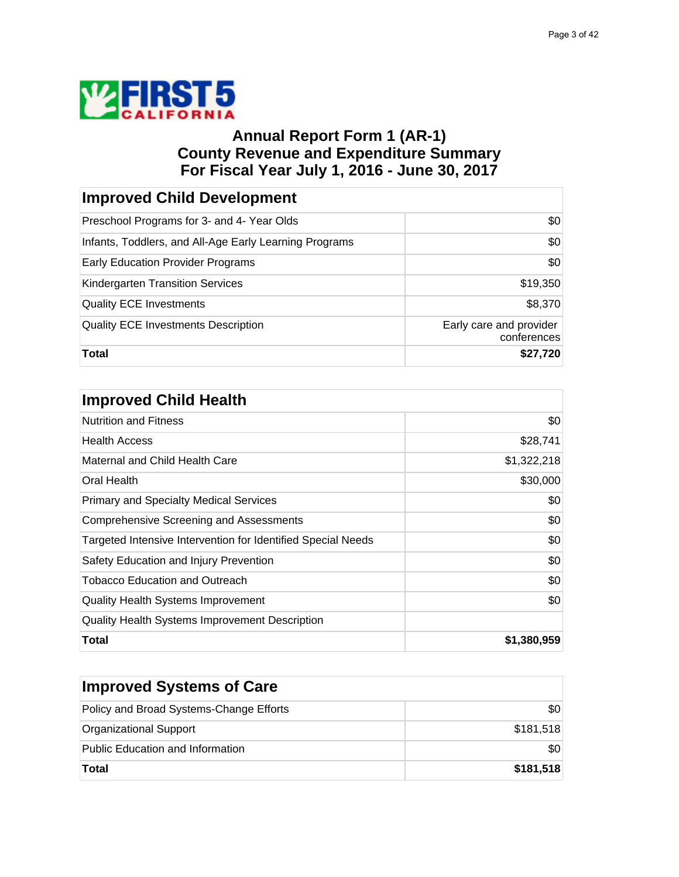

# **Annual Report Form 1 (AR-1) County Revenue and Expenditure Summary For Fiscal Year July 1, 2016 - June 30, 2017**

| <b>Improved Child Development</b>                      |                                        |
|--------------------------------------------------------|----------------------------------------|
| Preschool Programs for 3- and 4- Year Olds             | \$0                                    |
| Infants, Toddlers, and All-Age Early Learning Programs | \$0                                    |
| <b>Early Education Provider Programs</b>               | \$0                                    |
| Kindergarten Transition Services                       | \$19,350                               |
| <b>Quality ECE Investments</b>                         | \$8,370                                |
| <b>Quality ECE Investments Description</b>             | Early care and provider<br>conferences |
| <b>Total</b>                                           | \$27,720                               |

# **Improved Child Health**

| <b>Nutrition and Fitness</b>                                 | \$0         |
|--------------------------------------------------------------|-------------|
| <b>Health Access</b>                                         | \$28,741    |
| Maternal and Child Health Care                               | \$1,322,218 |
| Oral Health                                                  | \$30,000    |
| <b>Primary and Specialty Medical Services</b>                | \$0         |
| <b>Comprehensive Screening and Assessments</b>               | \$0         |
| Targeted Intensive Intervention for Identified Special Needs | \$0         |
| Safety Education and Injury Prevention                       | \$0         |
| <b>Tobacco Education and Outreach</b>                        | \$0         |
| <b>Quality Health Systems Improvement</b>                    | \$0         |
| <b>Quality Health Systems Improvement Description</b>        |             |
| Total                                                        | \$1,380,959 |

| <b>Improved Systems of Care</b>         |           |  |
|-----------------------------------------|-----------|--|
| Policy and Broad Systems-Change Efforts | \$0       |  |
| Organizational Support                  | \$181.518 |  |
| <b>Public Education and Information</b> | \$0       |  |
| <b>Total</b>                            | \$181,518 |  |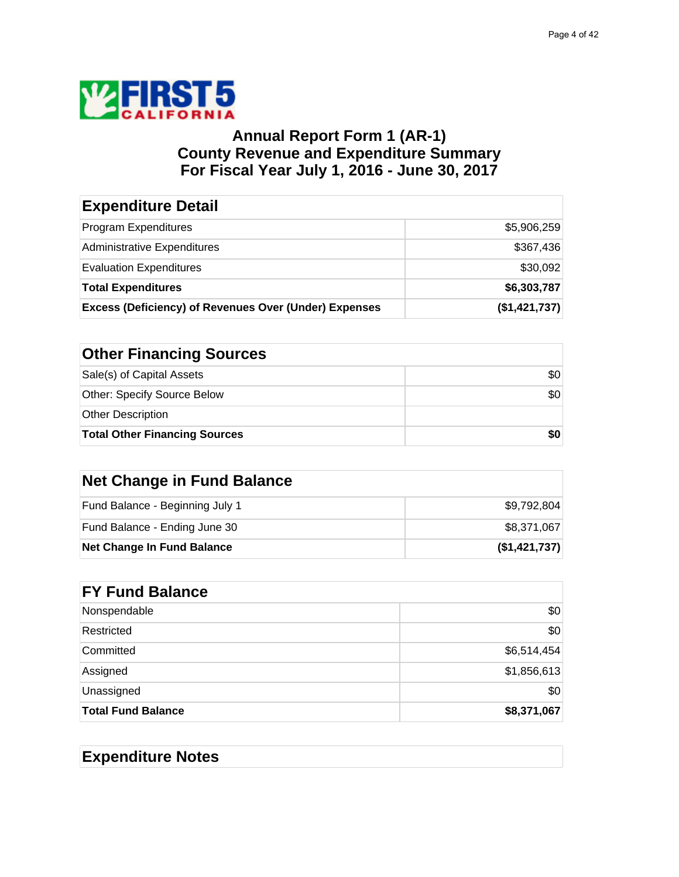

# **Annual Report Form 1 (AR-1) County Revenue and Expenditure Summary For Fiscal Year July 1, 2016 - June 30, 2017**

| <b>Expenditure Detail</b>                                    |               |  |
|--------------------------------------------------------------|---------------|--|
| <b>Program Expenditures</b>                                  | \$5,906,259   |  |
| Administrative Expenditures                                  | \$367,436     |  |
| <b>Evaluation Expenditures</b>                               | \$30,092      |  |
| <b>Total Expenditures</b>                                    | \$6,303,787   |  |
| <b>Excess (Deficiency) of Revenues Over (Under) Expenses</b> | (\$1,421,737) |  |

| <b>Other Financing Sources</b>       |     |  |
|--------------------------------------|-----|--|
| Sale(s) of Capital Assets            | \$0 |  |
| Other: Specify Source Below          | \$0 |  |
| <b>Other Description</b>             |     |  |
| <b>Total Other Financing Sources</b> |     |  |

| Net Change in Fund Balance      |               |
|---------------------------------|---------------|
| Fund Balance - Beginning July 1 | \$9,792,804   |
| Fund Balance - Ending June 30   | \$8,371,067   |
| Net Change In Fund Balance      | (\$1,421,737) |

| <b>FY Fund Balance</b>    |             |  |
|---------------------------|-------------|--|
| Nonspendable              | \$0         |  |
| Restricted                | \$0         |  |
| Committed                 | \$6,514,454 |  |
| Assigned                  | \$1,856,613 |  |
| Unassigned                | \$0         |  |
| <b>Total Fund Balance</b> | \$8,371,067 |  |

# **Expenditure Notes**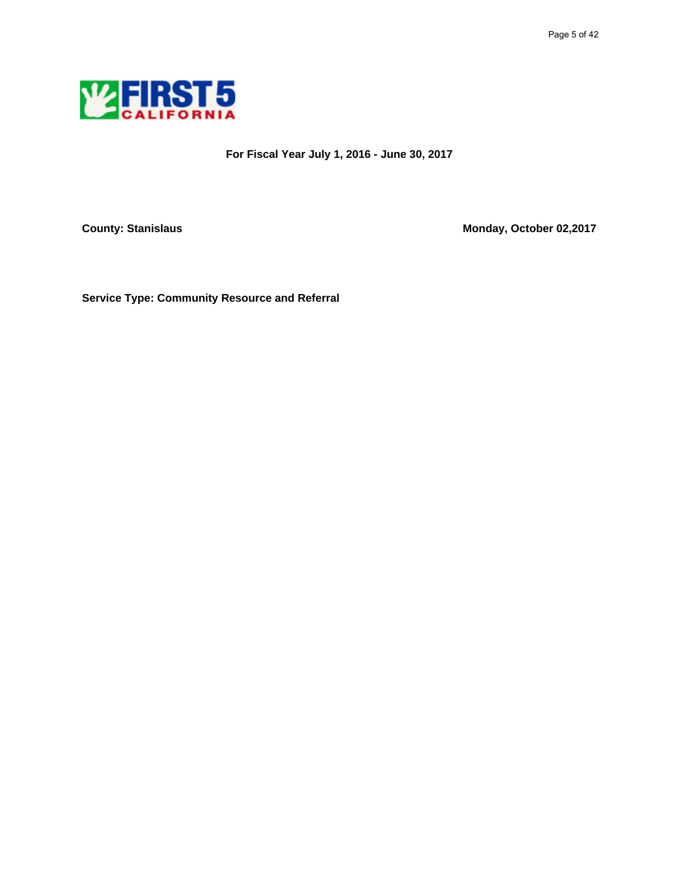

**County: Stanislaus County: Stanislaus Monday, October 02,2017** 

**Service Type: Community Resource and Referral**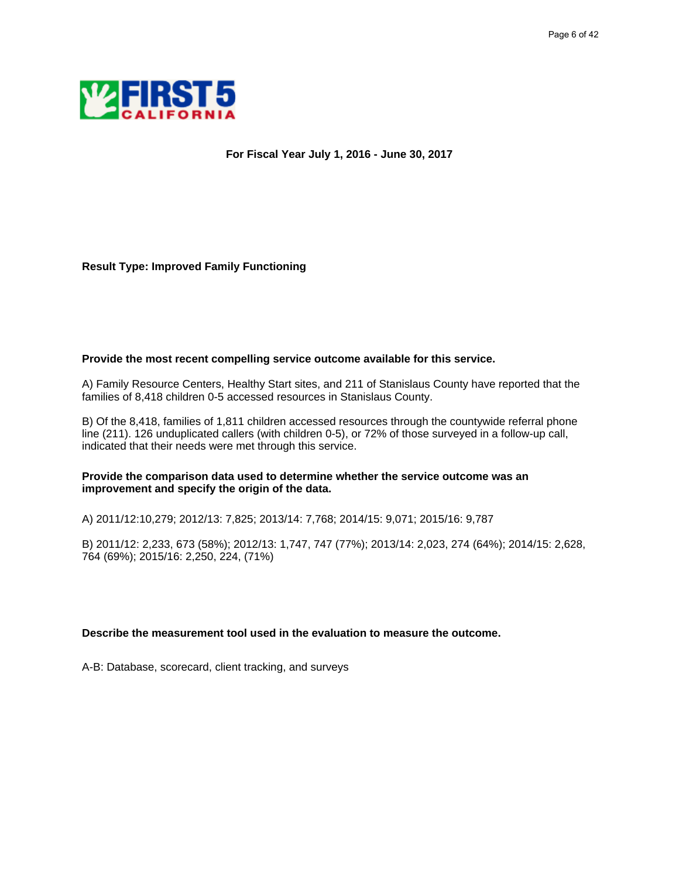

#### **Result Type: Improved Family Functioning**

#### **Provide the most recent compelling service outcome available for this service.**

A) Family Resource Centers, Healthy Start sites, and 211 of Stanislaus County have reported that the families of 8,418 children 0-5 accessed resources in Stanislaus County.

B) Of the 8,418, families of 1,811 children accessed resources through the countywide referral phone line (211). 126 unduplicated callers (with children 0-5), or 72% of those surveyed in a follow-up call, indicated that their needs were met through this service.

#### **Provide the comparison data used to determine whether the service outcome was an improvement and specify the origin of the data.**

A) 2011/12:10,279; 2012/13: 7,825; 2013/14: 7,768; 2014/15: 9,071; 2015/16: 9,787

B) 2011/12: 2,233, 673 (58%); 2012/13: 1,747, 747 (77%); 2013/14: 2,023, 274 (64%); 2014/15: 2,628, 764 (69%); 2015/16: 2,250, 224, (71%)

#### **Describe the measurement tool used in the evaluation to measure the outcome.**

A-B: Database, scorecard, client tracking, and surveys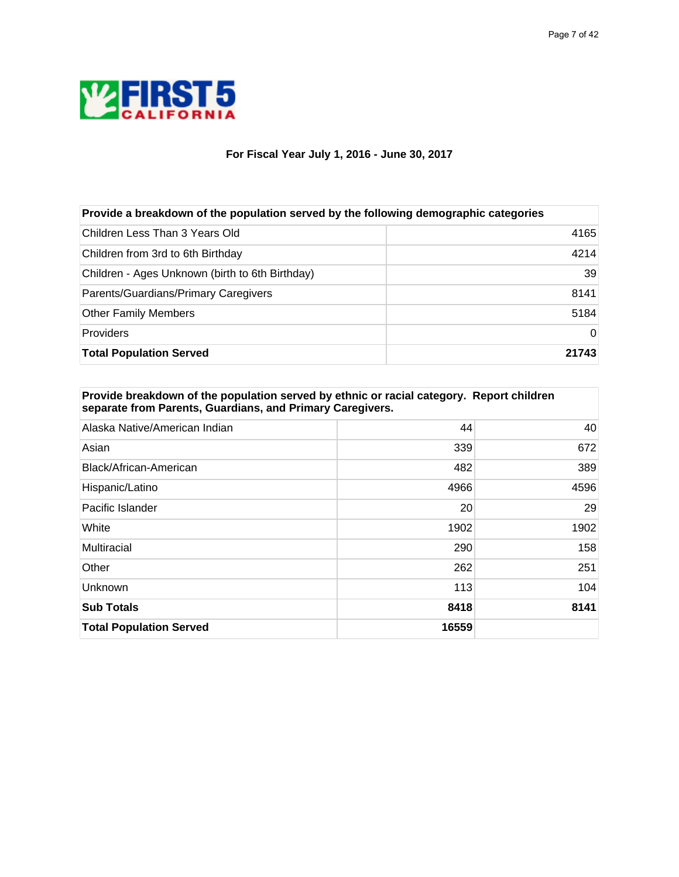

| Provide a breakdown of the population served by the following demographic categories |       |  |
|--------------------------------------------------------------------------------------|-------|--|
| Children Less Than 3 Years Old                                                       | 4165  |  |
| Children from 3rd to 6th Birthday                                                    | 4214  |  |
| Children - Ages Unknown (birth to 6th Birthday)                                      | 39    |  |
| Parents/Guardians/Primary Caregivers                                                 | 8141  |  |
| <b>Other Family Members</b>                                                          | 5184  |  |
| <b>Providers</b>                                                                     | 0     |  |
| <b>Total Population Served</b>                                                       | 21743 |  |

| Provide breakdown of the population served by ethnic or racial category. Report children<br>separate from Parents, Guardians, and Primary Caregivers. |       |      |
|-------------------------------------------------------------------------------------------------------------------------------------------------------|-------|------|
| Alaska Native/American Indian                                                                                                                         | 44    | 40   |
| Asian                                                                                                                                                 | 339   | 672  |
| Black/African-American                                                                                                                                | 482   | 389  |
| Hispanic/Latino                                                                                                                                       | 4966  | 4596 |
| Pacific Islander                                                                                                                                      | 20    | 29   |
| White                                                                                                                                                 | 1902  | 1902 |
| Multiracial                                                                                                                                           | 290   | 158  |
| Other                                                                                                                                                 | 262   | 251  |
| <b>Unknown</b>                                                                                                                                        | 113   | 104  |
| <b>Sub Totals</b>                                                                                                                                     | 8418  | 8141 |
| <b>Total Population Served</b>                                                                                                                        | 16559 |      |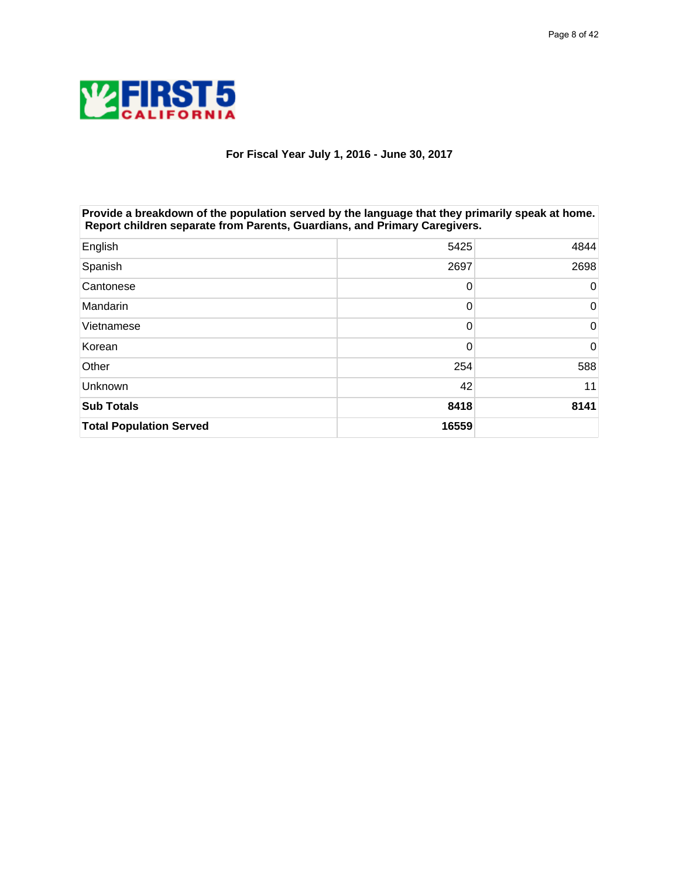

**Provide a breakdown of the population served by the language that they primarily speak at home. Report children separate from Parents, Guardians, and Primary Caregivers.**

| English                        | 5425  | 4844        |
|--------------------------------|-------|-------------|
| Spanish                        | 2697  | 2698        |
| Cantonese                      | 0     | 0           |
| Mandarin                       | 0     | 0           |
| Vietnamese                     | 0     | $\mathbf 0$ |
| Korean                         | 0     | 0           |
| Other                          | 254   | 588         |
| Unknown                        | 42    | 11          |
| <b>Sub Totals</b>              | 8418  | 8141        |
| <b>Total Population Served</b> | 16559 |             |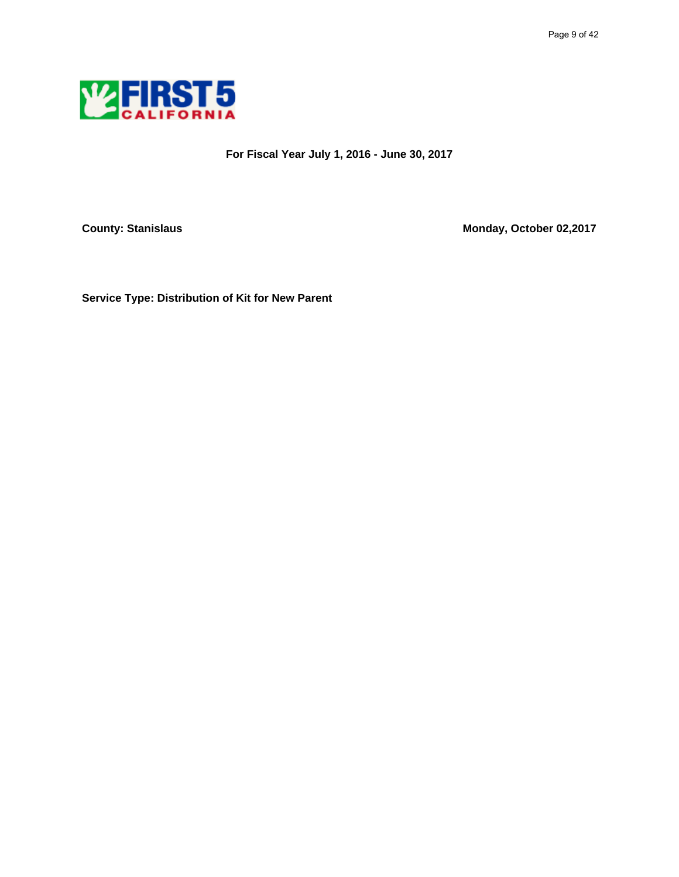

**County: Stanislaus County: Stanislaus Monday, October 02,2017** 

**Service Type: Distribution of Kit for New Parent**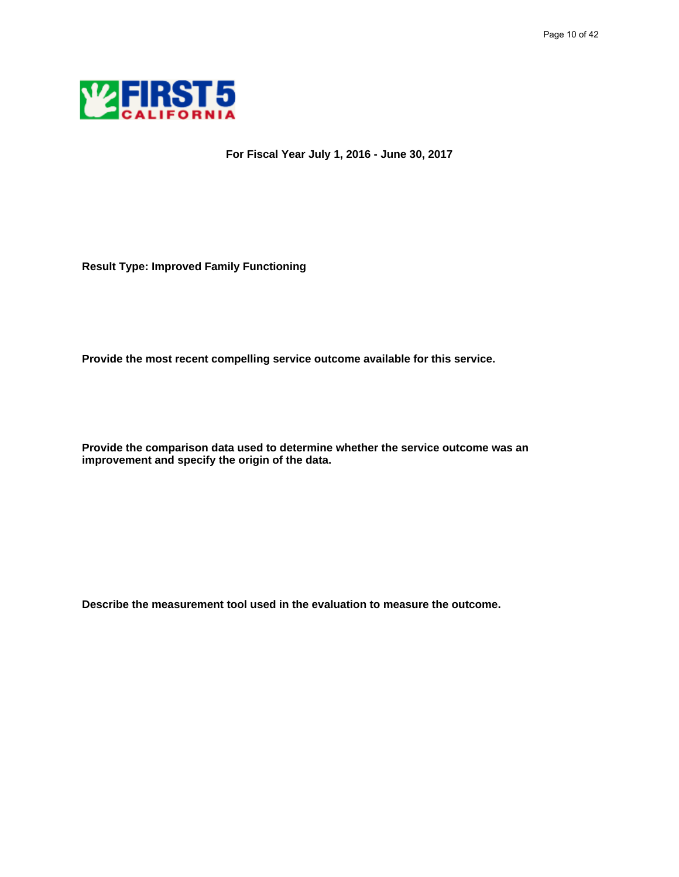

**Result Type: Improved Family Functioning**

**Provide the most recent compelling service outcome available for this service.**

**Provide the comparison data used to determine whether the service outcome was an improvement and specify the origin of the data.**

**Describe the measurement tool used in the evaluation to measure the outcome.**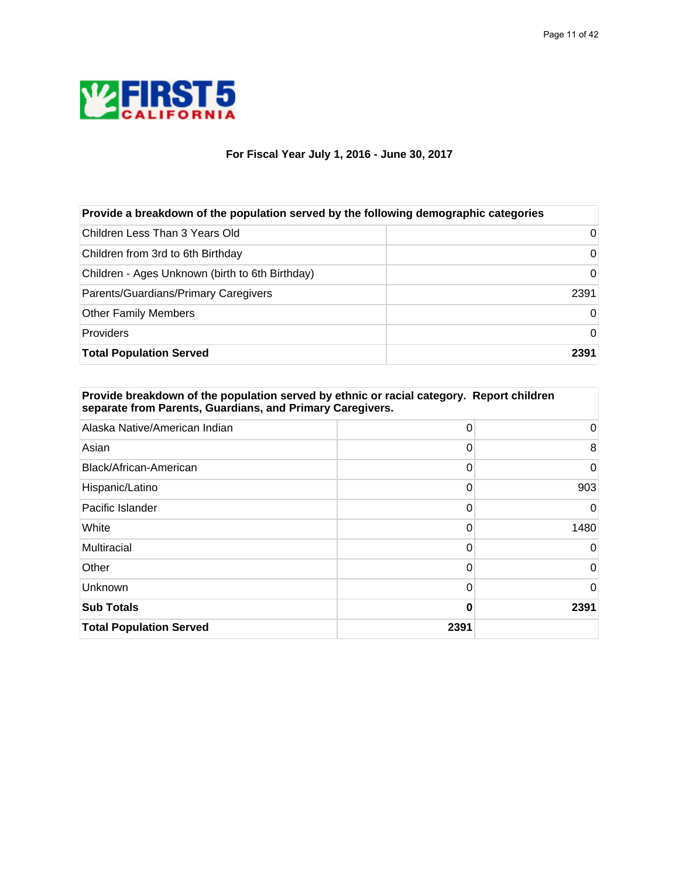

| Provide a breakdown of the population served by the following demographic categories |          |  |
|--------------------------------------------------------------------------------------|----------|--|
| Children Less Than 3 Years Old                                                       | 0        |  |
| Children from 3rd to 6th Birthday                                                    | $\Omega$ |  |
| Children - Ages Unknown (birth to 6th Birthday)                                      | $\Omega$ |  |
| Parents/Guardians/Primary Caregivers                                                 | 2391     |  |
| <b>Other Family Members</b>                                                          | $\Omega$ |  |
| Providers                                                                            | $\Omega$ |  |
| <b>Total Population Served</b>                                                       | 2391     |  |

| Provide breakdown of the population served by ethnic or racial category. Report children<br>separate from Parents, Guardians, and Primary Caregivers. |      |          |
|-------------------------------------------------------------------------------------------------------------------------------------------------------|------|----------|
| Alaska Native/American Indian                                                                                                                         | 0    | 0        |
| Asian                                                                                                                                                 | 0    | 8        |
| Black/African-American                                                                                                                                | 0    | $\Omega$ |
| Hispanic/Latino                                                                                                                                       | 0    | 903      |
| Pacific Islander                                                                                                                                      | 0    | $\Omega$ |
| White                                                                                                                                                 | 0    | 1480     |
| Multiracial                                                                                                                                           | 0    | 0        |
| Other                                                                                                                                                 | 0    | 0        |
| <b>Unknown</b>                                                                                                                                        | 0    | 0        |
| <b>Sub Totals</b>                                                                                                                                     | 0    | 2391     |
| <b>Total Population Served</b>                                                                                                                        | 2391 |          |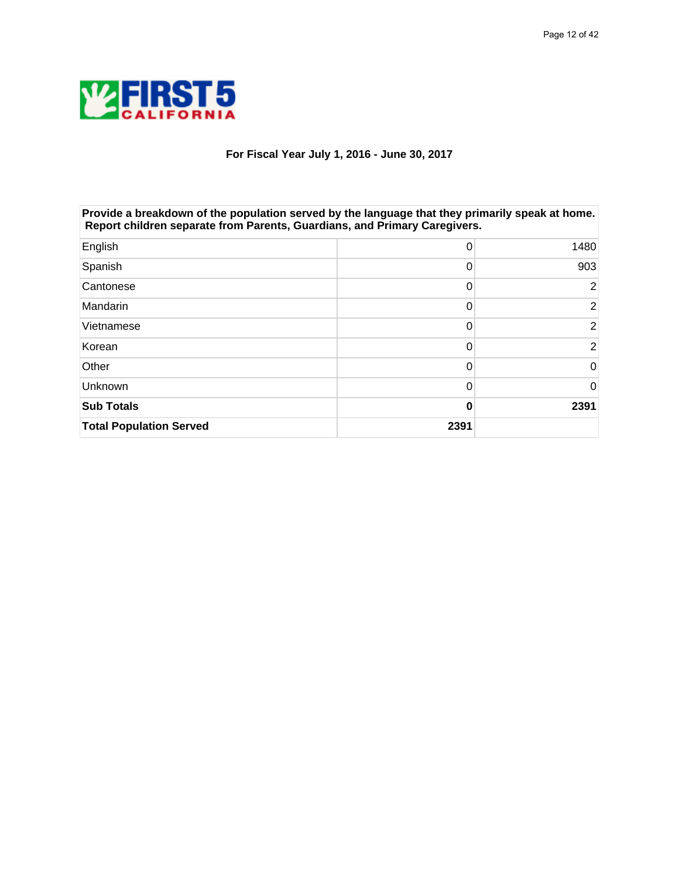

**Provide a breakdown of the population served by the language that they primarily speak at home. Report children separate from Parents, Guardians, and Primary Caregivers.**

| English                        | 0    | 1480           |
|--------------------------------|------|----------------|
| Spanish                        | 0    | 903            |
| Cantonese                      | 0    | $\overline{2}$ |
| Mandarin                       | 0    | $\overline{2}$ |
| Vietnamese                     | 0    | $\overline{2}$ |
| Korean                         | 0    | 2              |
| Other                          | 0    | $\Omega$       |
| Unknown                        | 0    | $\Omega$       |
| <b>Sub Totals</b>              | 0    | 2391           |
| <b>Total Population Served</b> | 2391 |                |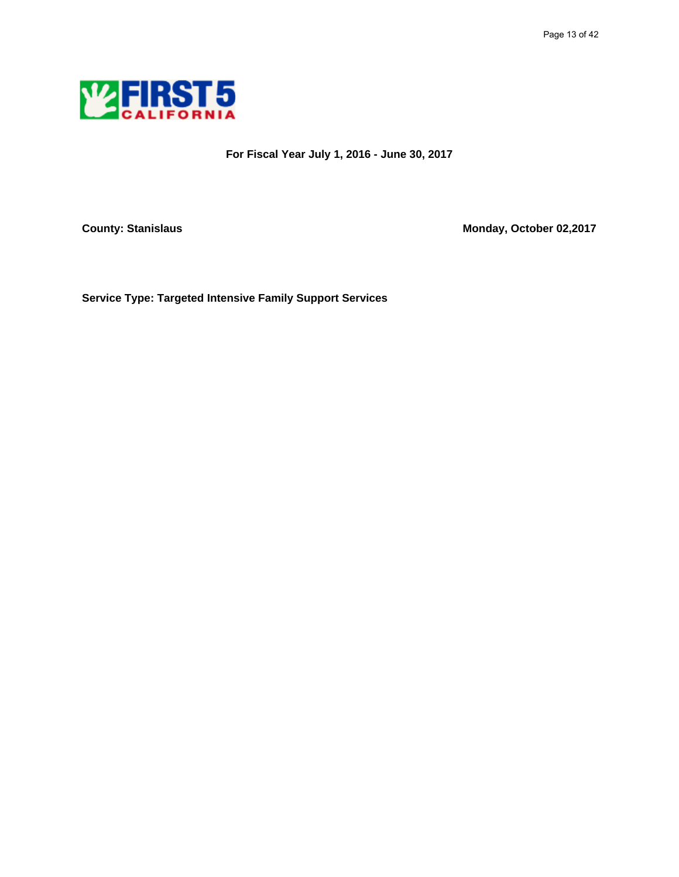

**County: Stanislaus County: Stanislaus Monday, October 02,2017** 

**Service Type: Targeted Intensive Family Support Services**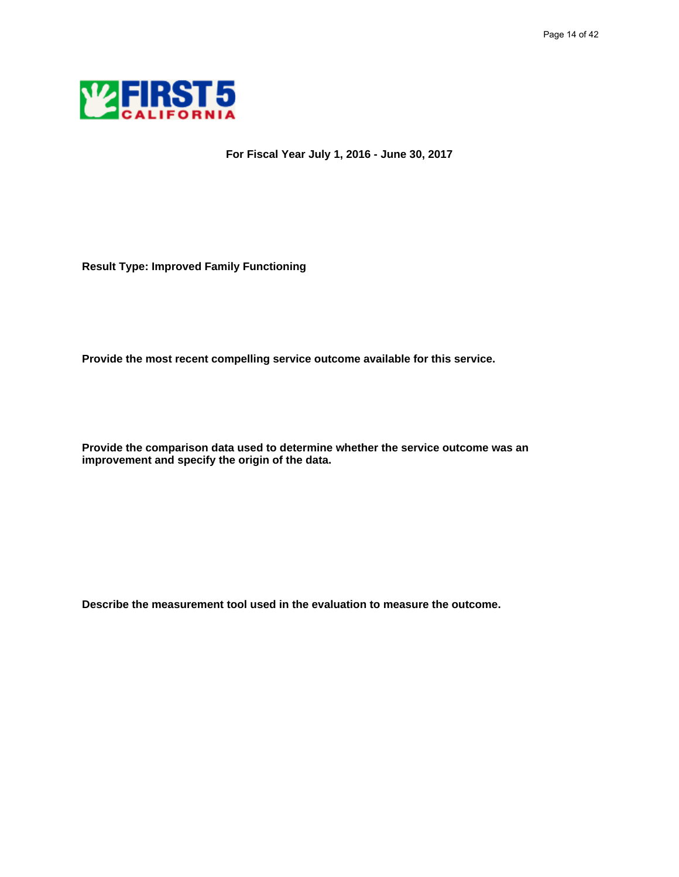

**Result Type: Improved Family Functioning**

**Provide the most recent compelling service outcome available for this service.**

**Provide the comparison data used to determine whether the service outcome was an improvement and specify the origin of the data.**

**Describe the measurement tool used in the evaluation to measure the outcome.**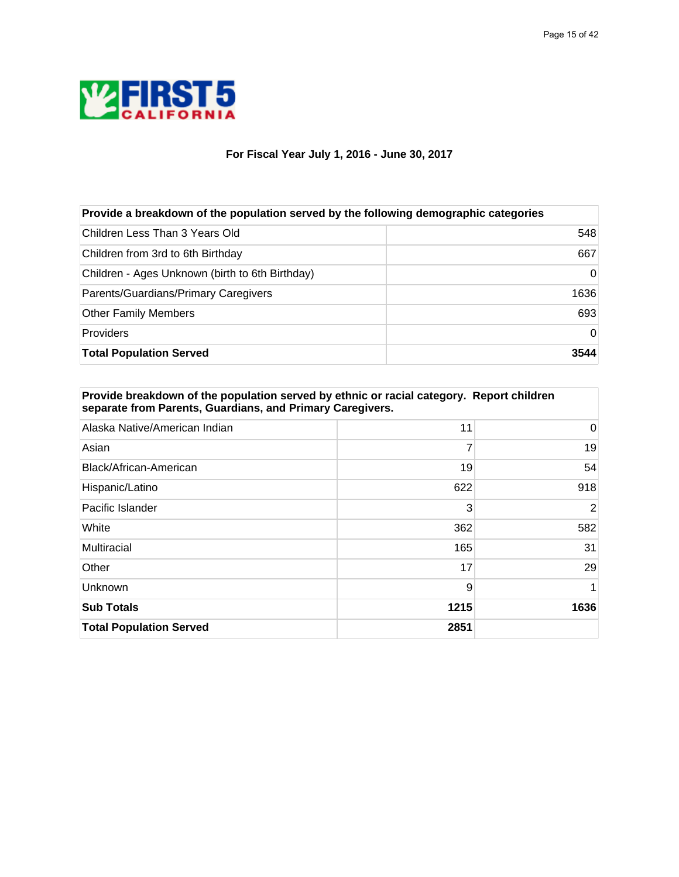

| Provide a breakdown of the population served by the following demographic categories |          |  |
|--------------------------------------------------------------------------------------|----------|--|
| Children Less Than 3 Years Old                                                       | 548      |  |
| Children from 3rd to 6th Birthday                                                    | 667      |  |
| Children - Ages Unknown (birth to 6th Birthday)                                      | $\Omega$ |  |
| Parents/Guardians/Primary Caregivers                                                 | 1636     |  |
| <b>Other Family Members</b>                                                          | 693      |  |
| Providers                                                                            | 0        |  |
| <b>Total Population Served</b>                                                       | 3544     |  |

| Provide breakdown of the population served by ethnic or racial category. Report children<br>separate from Parents, Guardians, and Primary Caregivers. |      |      |
|-------------------------------------------------------------------------------------------------------------------------------------------------------|------|------|
| Alaska Native/American Indian                                                                                                                         | 11   | 0    |
| Asian                                                                                                                                                 | 7    | 19   |
| Black/African-American                                                                                                                                | 19   | 54   |
| Hispanic/Latino                                                                                                                                       | 622  | 918  |
| Pacific Islander                                                                                                                                      | 3    | 2    |
| White                                                                                                                                                 | 362  | 582  |
| Multiracial                                                                                                                                           | 165  | 31   |
| Other                                                                                                                                                 | 17   | 29   |
| Unknown                                                                                                                                               | 9    |      |
| <b>Sub Totals</b>                                                                                                                                     | 1215 | 1636 |
| <b>Total Population Served</b>                                                                                                                        | 2851 |      |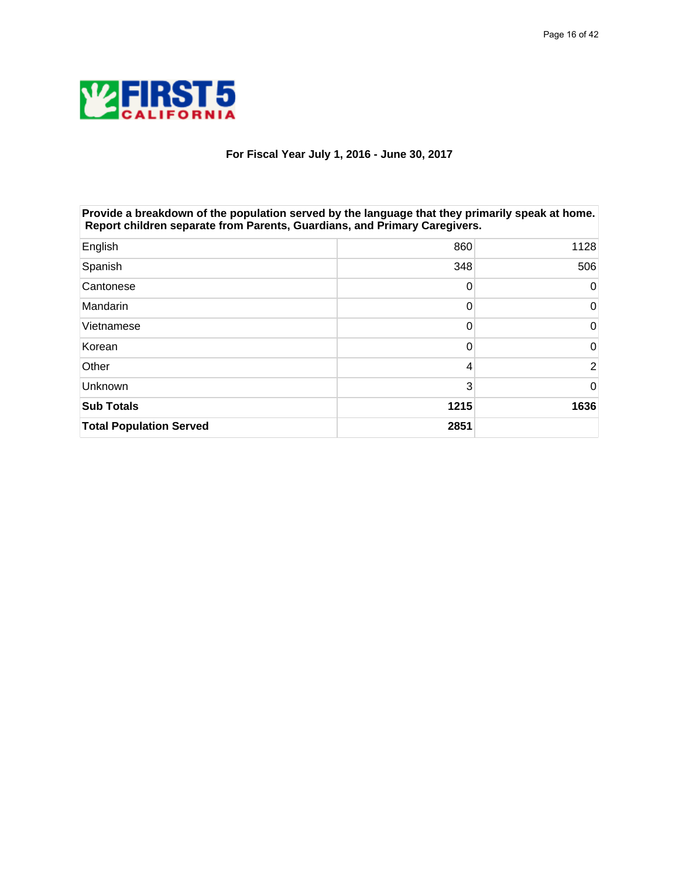

**Provide a breakdown of the population served by the language that they primarily speak at home. Report children separate from Parents, Guardians, and Primary Caregivers.**

| English                        | 860  | 1128           |
|--------------------------------|------|----------------|
| Spanish                        | 348  | 506            |
| Cantonese                      | 0    | 0              |
| Mandarin                       | 0    | 0              |
| Vietnamese                     | 0    | 0              |
| Korean                         | 0    | 0              |
| Other                          | 4    | $\overline{2}$ |
| Unknown                        | 3    | $\mathbf 0$    |
| <b>Sub Totals</b>              | 1215 | 1636           |
| <b>Total Population Served</b> | 2851 |                |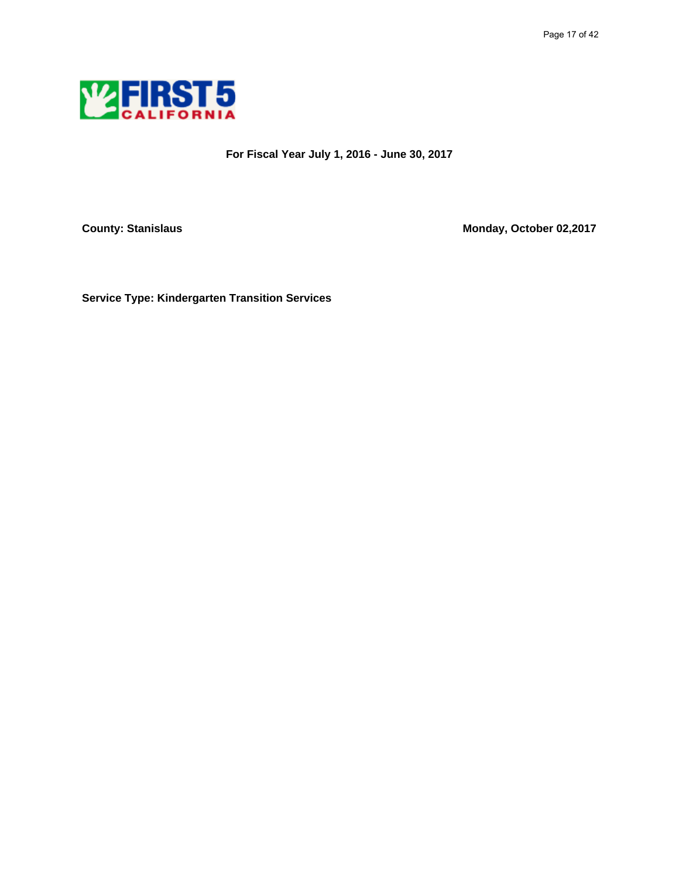

**County: Stanislaus County: Stanislaus Monday, October 02,2017** 

**Service Type: Kindergarten Transition Services**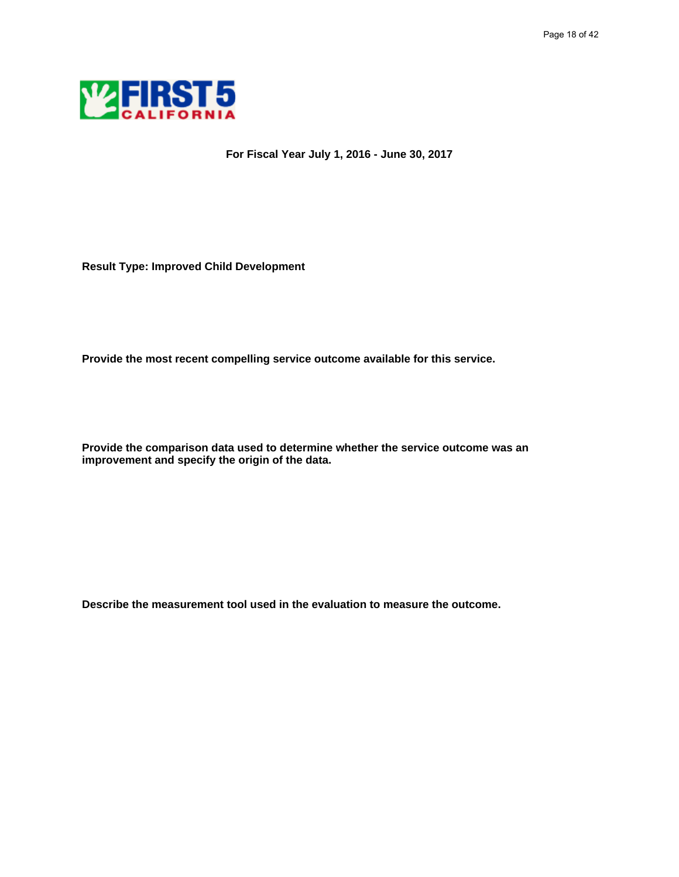

**Result Type: Improved Child Development**

**Provide the most recent compelling service outcome available for this service.**

**Provide the comparison data used to determine whether the service outcome was an improvement and specify the origin of the data.**

**Describe the measurement tool used in the evaluation to measure the outcome.**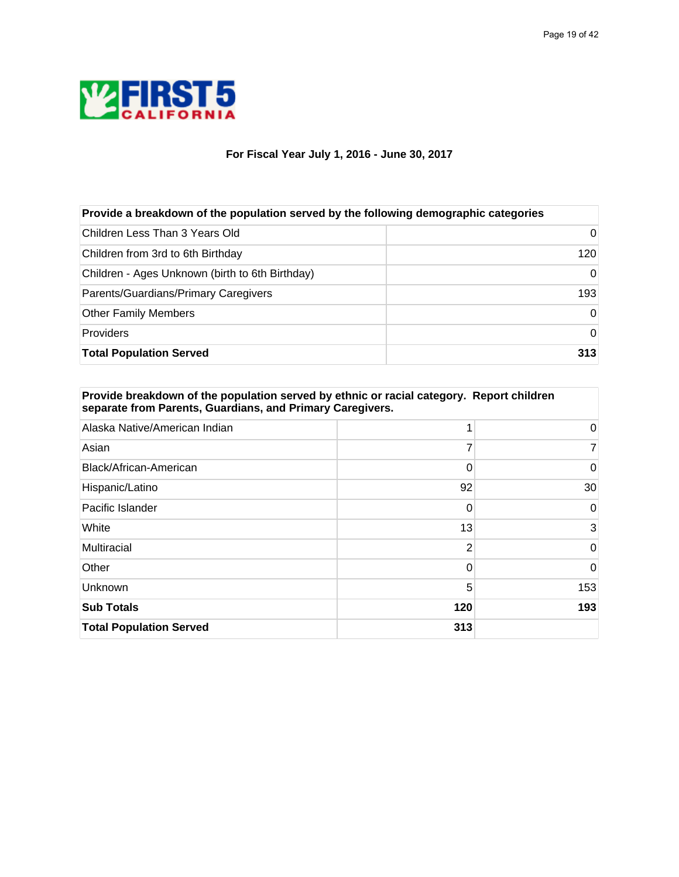

| Provide a breakdown of the population served by the following demographic categories |     |  |
|--------------------------------------------------------------------------------------|-----|--|
| Children Less Than 3 Years Old                                                       | 0   |  |
| Children from 3rd to 6th Birthday                                                    | 120 |  |
| Children - Ages Unknown (birth to 6th Birthday)                                      | 0   |  |
| Parents/Guardians/Primary Caregivers                                                 | 193 |  |
| <b>Other Family Members</b>                                                          | 0   |  |
| Providers                                                                            | 0   |  |
| <b>Total Population Served</b>                                                       | 313 |  |

| Provide breakdown of the population served by ethnic or racial category. Report children<br>separate from Parents, Guardians, and Primary Caregivers. |     |          |
|-------------------------------------------------------------------------------------------------------------------------------------------------------|-----|----------|
| Alaska Native/American Indian                                                                                                                         | 1   | 0        |
| Asian                                                                                                                                                 | 7   | 7        |
| Black/African-American                                                                                                                                | 0   | $\Omega$ |
| Hispanic/Latino                                                                                                                                       | 92  | 30       |
| Pacific Islander                                                                                                                                      | 0   | $\Omega$ |
| White                                                                                                                                                 | 13  | 3        |
| Multiracial                                                                                                                                           | 2   | $\Omega$ |
| Other                                                                                                                                                 | 0   | $\Omega$ |
| <b>Unknown</b>                                                                                                                                        | 5   | 153      |
| <b>Sub Totals</b>                                                                                                                                     | 120 | 193      |
| <b>Total Population Served</b>                                                                                                                        | 313 |          |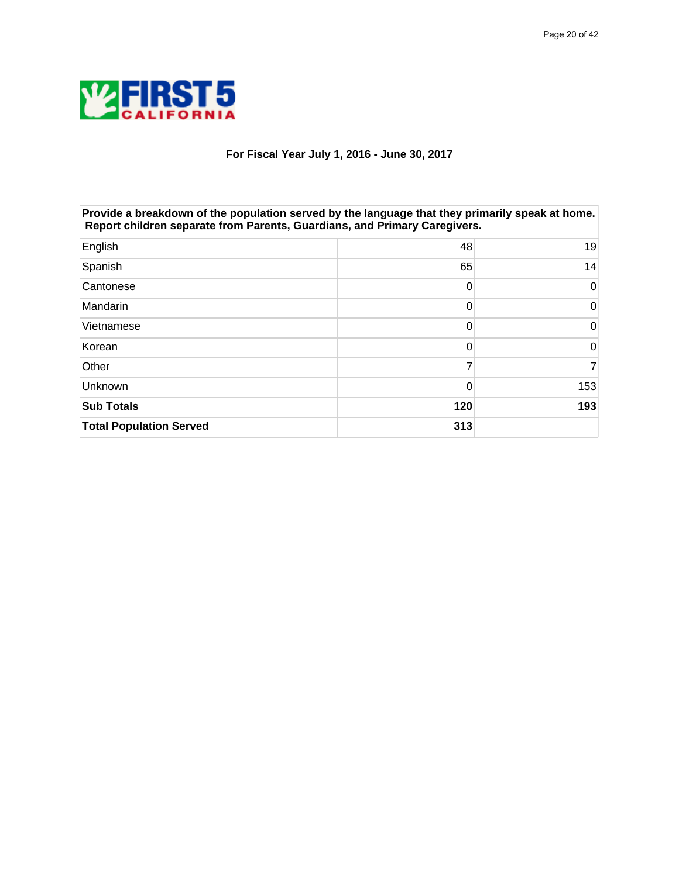

**Provide a breakdown of the population served by the language that they primarily speak at home. Report children separate from Parents, Guardians, and Primary Caregivers.**

| English                        | 48  | 19          |
|--------------------------------|-----|-------------|
| Spanish                        | 65  | 14          |
| Cantonese                      | 0   | 0           |
| Mandarin                       | 0   | 0           |
| Vietnamese                     | 0   | $\mathbf 0$ |
| Korean                         | 0   | 0           |
| Other                          | 7   | 7           |
| Unknown                        | 0   | 153         |
| <b>Sub Totals</b>              | 120 | 193         |
| <b>Total Population Served</b> | 313 |             |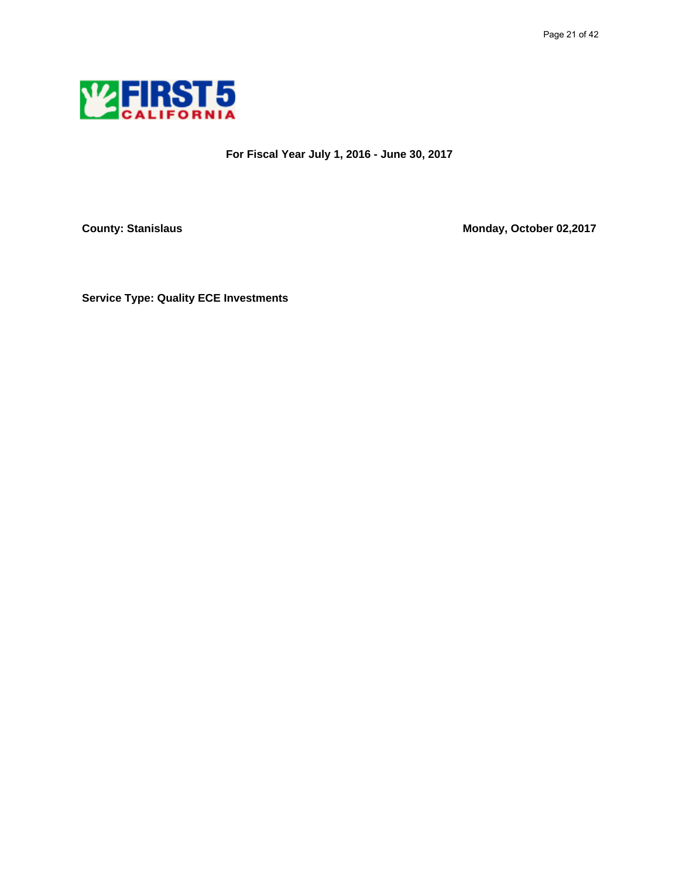

**County: Stanislaus County: Stanislaus Monday, October 02,2017** 

**Service Type: Quality ECE Investments**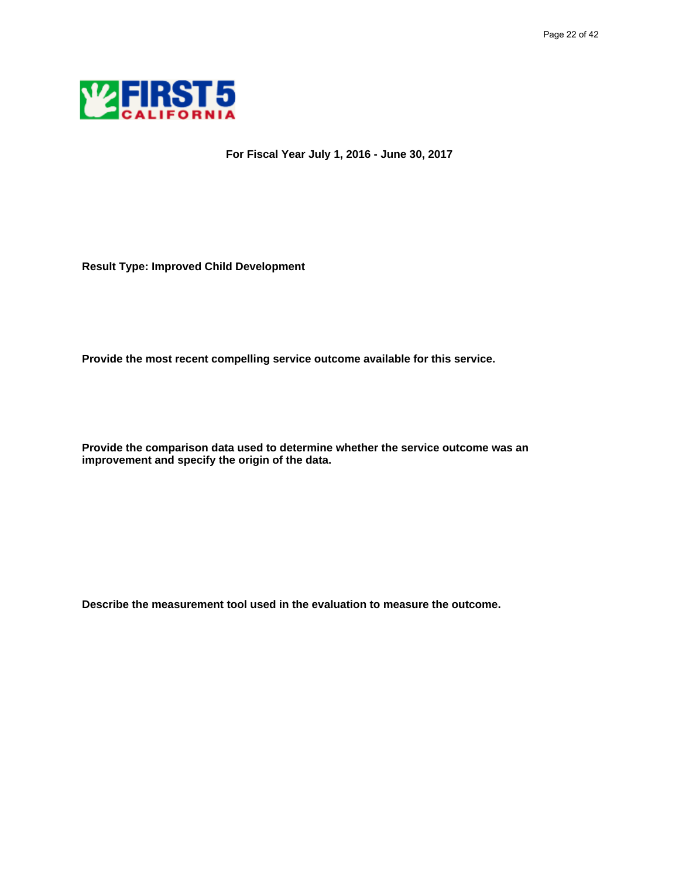

**Result Type: Improved Child Development**

**Provide the most recent compelling service outcome available for this service.**

**Provide the comparison data used to determine whether the service outcome was an improvement and specify the origin of the data.**

**Describe the measurement tool used in the evaluation to measure the outcome.**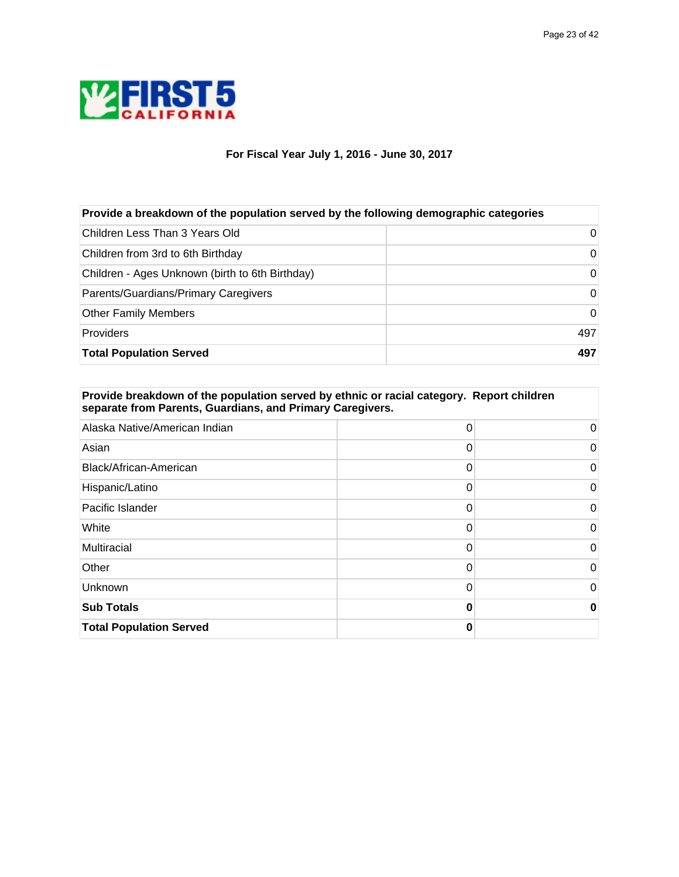

| Provide a breakdown of the population served by the following demographic categories |          |  |
|--------------------------------------------------------------------------------------|----------|--|
| Children Less Than 3 Years Old                                                       | 0        |  |
| Children from 3rd to 6th Birthday                                                    | $\Omega$ |  |
| Children - Ages Unknown (birth to 6th Birthday)                                      | $\Omega$ |  |
| Parents/Guardians/Primary Caregivers                                                 | $\Omega$ |  |
| <b>Other Family Members</b>                                                          | $\Omega$ |  |
| <b>Providers</b>                                                                     | 497      |  |
| <b>Total Population Served</b>                                                       | 497      |  |

| Provide breakdown of the population served by ethnic or racial category. Report children<br>separate from Parents, Guardians, and Primary Caregivers. |   |          |
|-------------------------------------------------------------------------------------------------------------------------------------------------------|---|----------|
| Alaska Native/American Indian                                                                                                                         | 0 | 0        |
| Asian                                                                                                                                                 | 0 | 0        |
| Black/African-American                                                                                                                                | 0 | 0        |
| Hispanic/Latino                                                                                                                                       | 0 | $\Omega$ |
| Pacific Islander                                                                                                                                      | 0 | 0        |
| White                                                                                                                                                 | 0 | $\Omega$ |
| Multiracial                                                                                                                                           | 0 | $\Omega$ |
| Other                                                                                                                                                 | 0 | $\Omega$ |
| <b>Unknown</b>                                                                                                                                        | 0 | $\Omega$ |
| <b>Sub Totals</b>                                                                                                                                     | 0 | $\bf{0}$ |
| <b>Total Population Served</b>                                                                                                                        | 0 |          |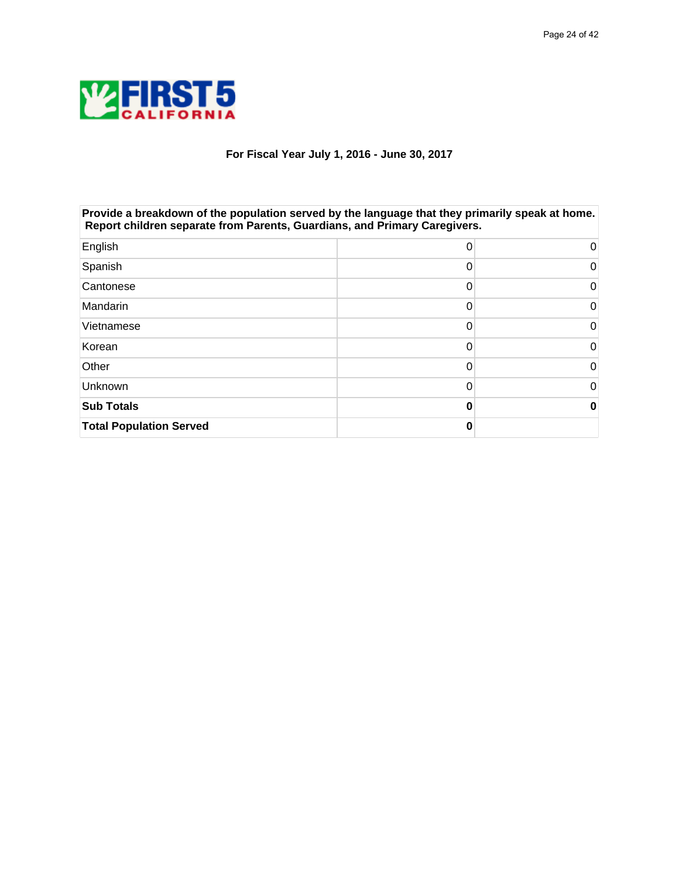

**Provide a breakdown of the population served by the language that they primarily speak at home. Report children separate from Parents, Guardians, and Primary Caregivers.**

| English                        |   | 0 |
|--------------------------------|---|---|
| Spanish                        | Ω | 0 |
| Cantonese                      | 0 | 0 |
| Mandarin                       | Ω | 0 |
| Vietnamese                     | Ω | 0 |
| Korean                         | 0 | 0 |
| Other                          | Ω | 0 |
| Unknown                        | Ω | 0 |
| <b>Sub Totals</b>              | Ω | 0 |
| <b>Total Population Served</b> |   |   |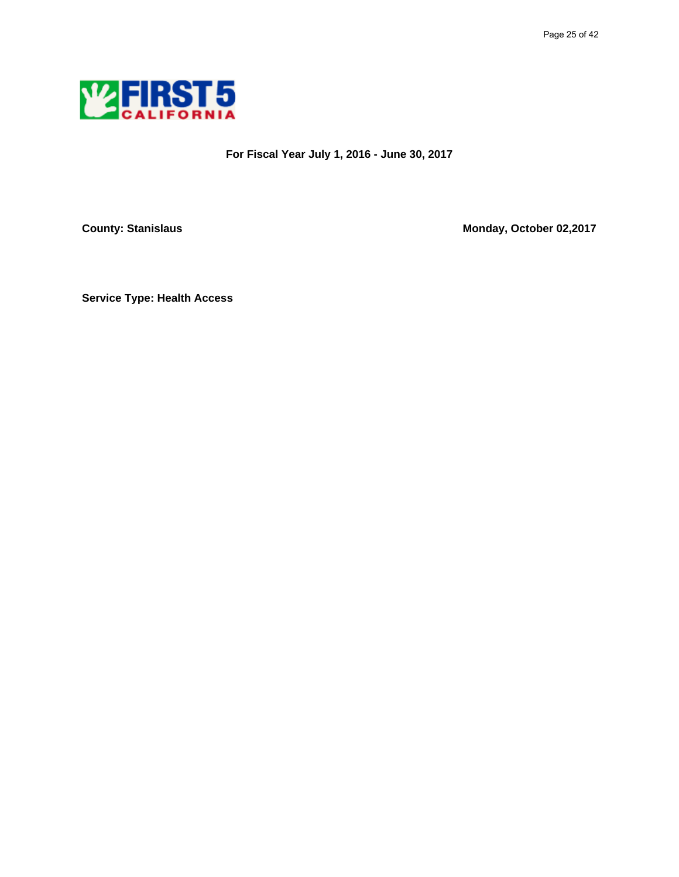

**County: Stanislaus County: Stanislaus Monday, October 02,2017** 

**Service Type: Health Access**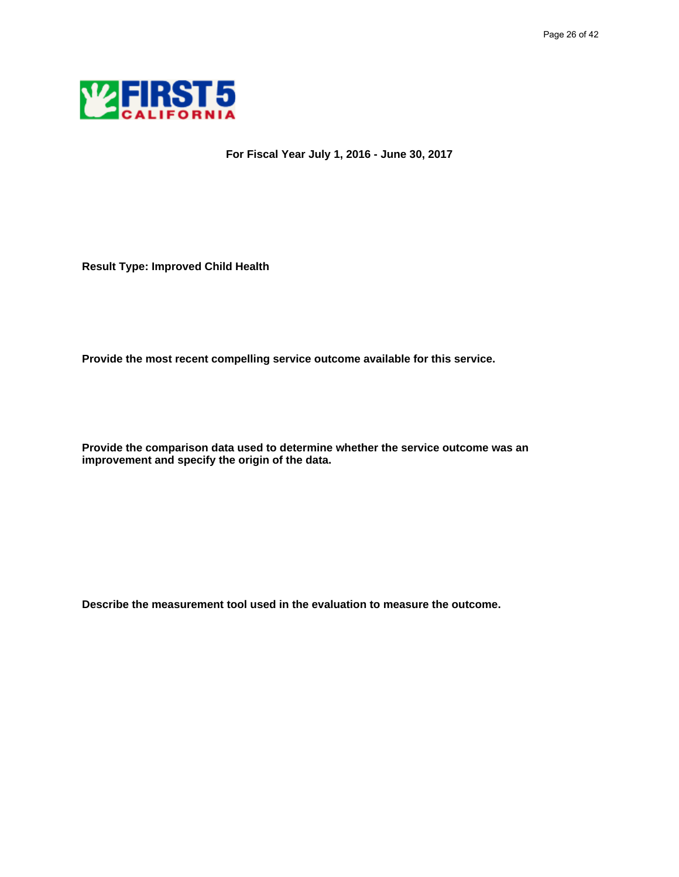

**Result Type: Improved Child Health**

**Provide the most recent compelling service outcome available for this service.**

**Provide the comparison data used to determine whether the service outcome was an improvement and specify the origin of the data.**

**Describe the measurement tool used in the evaluation to measure the outcome.**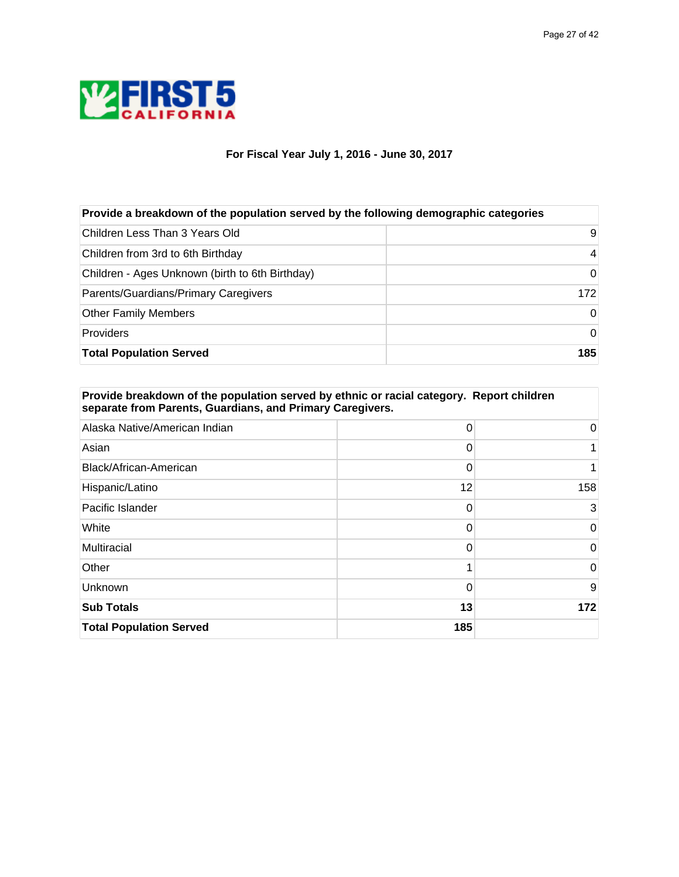

| Provide a breakdown of the population served by the following demographic categories |     |  |
|--------------------------------------------------------------------------------------|-----|--|
| Children Less Than 3 Years Old                                                       | 9   |  |
| Children from 3rd to 6th Birthday                                                    | 4   |  |
| Children - Ages Unknown (birth to 6th Birthday)                                      | 0   |  |
| Parents/Guardians/Primary Caregivers                                                 | 172 |  |
| <b>Other Family Members</b>                                                          | 0   |  |
| <b>Providers</b>                                                                     | 0   |  |
| <b>Total Population Served</b>                                                       | 185 |  |

| Provide breakdown of the population served by ethnic or racial category. Report children<br>separate from Parents, Guardians, and Primary Caregivers. |     |          |
|-------------------------------------------------------------------------------------------------------------------------------------------------------|-----|----------|
| Alaska Native/American Indian                                                                                                                         | 0   | 0        |
| Asian                                                                                                                                                 | 0   |          |
| Black/African-American                                                                                                                                | 0   |          |
| Hispanic/Latino                                                                                                                                       | 12  | 158      |
| Pacific Islander                                                                                                                                      | 0   | 3        |
| White                                                                                                                                                 | 0   | $\Omega$ |
| Multiracial                                                                                                                                           | 0   | $\Omega$ |
| Other                                                                                                                                                 |     | $\Omega$ |
| Unknown                                                                                                                                               | 0   | 9        |
| <b>Sub Totals</b>                                                                                                                                     | 13  | 172      |
| <b>Total Population Served</b>                                                                                                                        | 185 |          |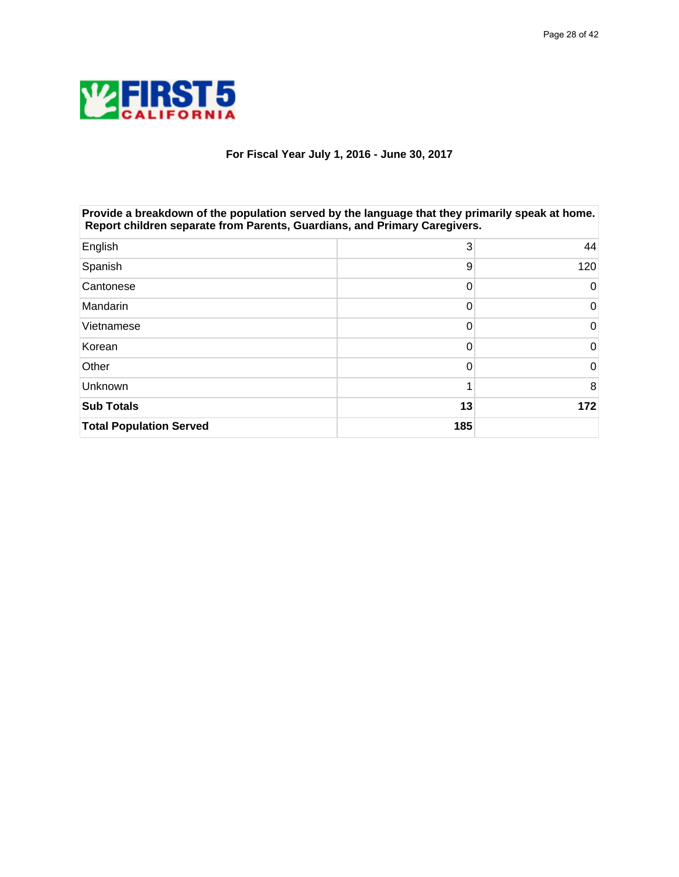

**Provide a breakdown of the population served by the language that they primarily speak at home. Report children separate from Parents, Guardians, and Primary Caregivers.**

| English                        | 3   | 44           |
|--------------------------------|-----|--------------|
| Spanish                        | 9   | 120          |
| Cantonese                      | 0   | $\mathbf{0}$ |
| Mandarin                       | 0   | 0            |
| Vietnamese                     | 0   | 0            |
| Korean                         | 0   | $\Omega$     |
| Other                          | 0   | 0            |
| Unknown                        |     | 8            |
| <b>Sub Totals</b>              | 13  | 172          |
| <b>Total Population Served</b> | 185 |              |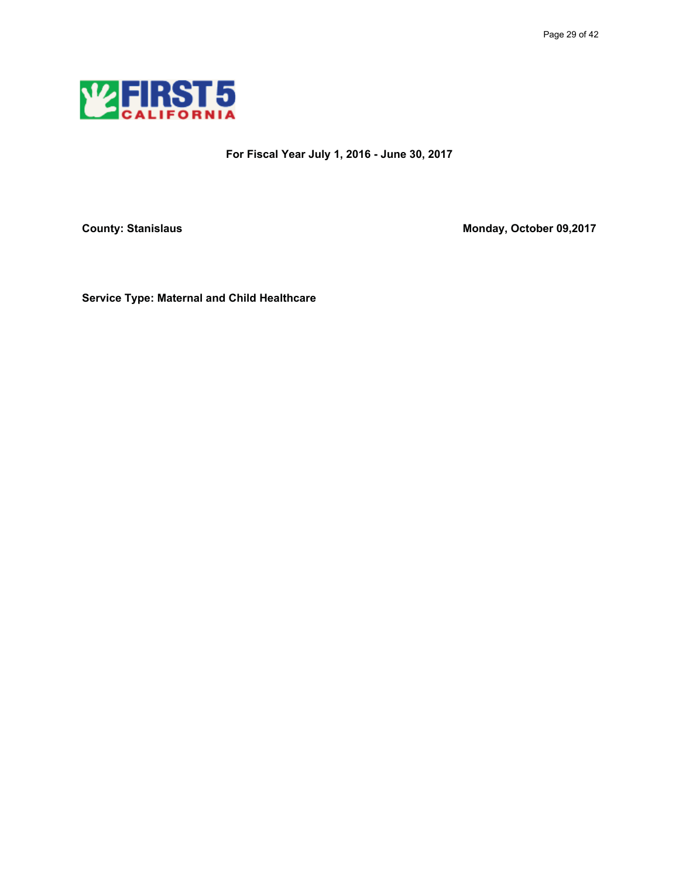

**County: Stanislaus County: Stanislaus Monday, October 09,2017** 

**Service Type: Maternal and Child Healthcare**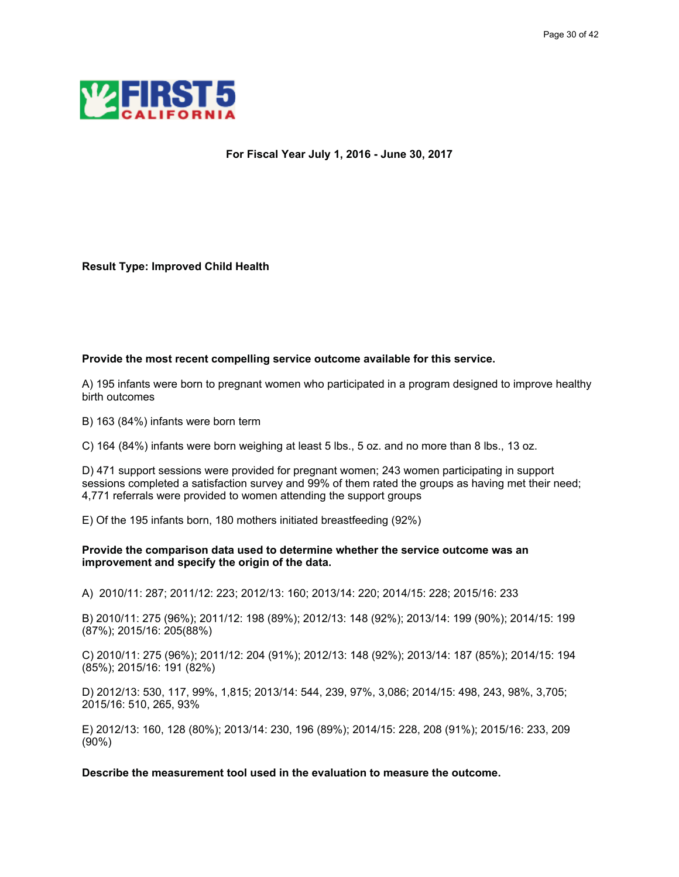

**Result Type: Improved Child Health**

#### **Provide the most recent compelling service outcome available for this service.**

A) 195 infants were born to pregnant women who participated in a program designed to improve healthy birth outcomes

B) 163 (84%) infants were born term

C) 164 (84%) infants were born weighing at least 5 lbs., 5 oz. and no more than 8 lbs., 13 oz.

D) 471 support sessions were provided for pregnant women; 243 women participating in support sessions completed a satisfaction survey and 99% of them rated the groups as having met their need; 4,771 referrals were provided to women attending the support groups

E) Of the 195 infants born, 180 mothers initiated breastfeeding (92%)

#### **Provide the comparison data used to determine whether the service outcome was an improvement and specify the origin of the data.**

A) 2010/11: 287; 2011/12: 223; 2012/13: 160; 2013/14: 220; 2014/15: 228; 2015/16: 233

B) 2010/11: 275 (96%); 2011/12: 198 (89%); 2012/13: 148 (92%); 2013/14: 199 (90%); 2014/15: 199 (87%); 2015/16: 205(88%)

C) 2010/11: 275 (96%); 2011/12: 204 (91%); 2012/13: 148 (92%); 2013/14: 187 (85%); 2014/15: 194 (85%); 2015/16: 191 (82%)

D) 2012/13: 530, 117, 99%, 1,815; 2013/14: 544, 239, 97%, 3,086; 2014/15: 498, 243, 98%, 3,705; 2015/16: 510, 265, 93%

E) 2012/13: 160, 128 (80%); 2013/14: 230, 196 (89%); 2014/15: 228, 208 (91%); 2015/16: 233, 209 (90%)

**Describe the measurement tool used in the evaluation to measure the outcome.**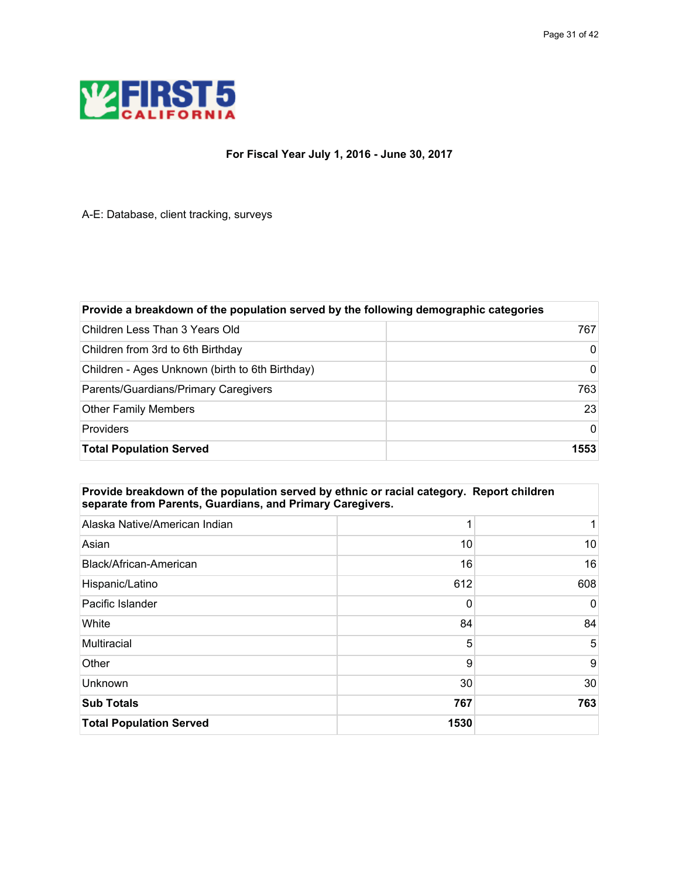

A-E: Database, client tracking, surveys

| Provide a breakdown of the population served by the following demographic categories |      |  |
|--------------------------------------------------------------------------------------|------|--|
| Children Less Than 3 Years Old                                                       | 767  |  |
| Children from 3rd to 6th Birthday                                                    | 0    |  |
| Children - Ages Unknown (birth to 6th Birthday)                                      | 0    |  |
| Parents/Guardians/Primary Caregivers                                                 | 763  |  |
| <b>Other Family Members</b>                                                          | 23   |  |
| Providers                                                                            | 0    |  |
| <b>Total Population Served</b>                                                       | 1553 |  |

| Provide breakdown of the population served by ethnic or racial category. Report children |  |
|------------------------------------------------------------------------------------------|--|
| separate from Parents, Guardians, and Primary Caregivers.                                |  |

| Alaska Native/American Indian  |          |                 |
|--------------------------------|----------|-----------------|
| Asian                          | 10       | 10 <sup>°</sup> |
| Black/African-American         | 16       | 16              |
| Hispanic/Latino                | 612      | 608             |
| Pacific Islander               | $\Omega$ | $\mathbf{0}$    |
| White                          | 84       | 84              |
| Multiracial                    | 5        | 5               |
| Other                          | 9        | 9               |
| Unknown                        | 30       | 30              |
| <b>Sub Totals</b>              | 767      | 763             |
| <b>Total Population Served</b> | 1530     |                 |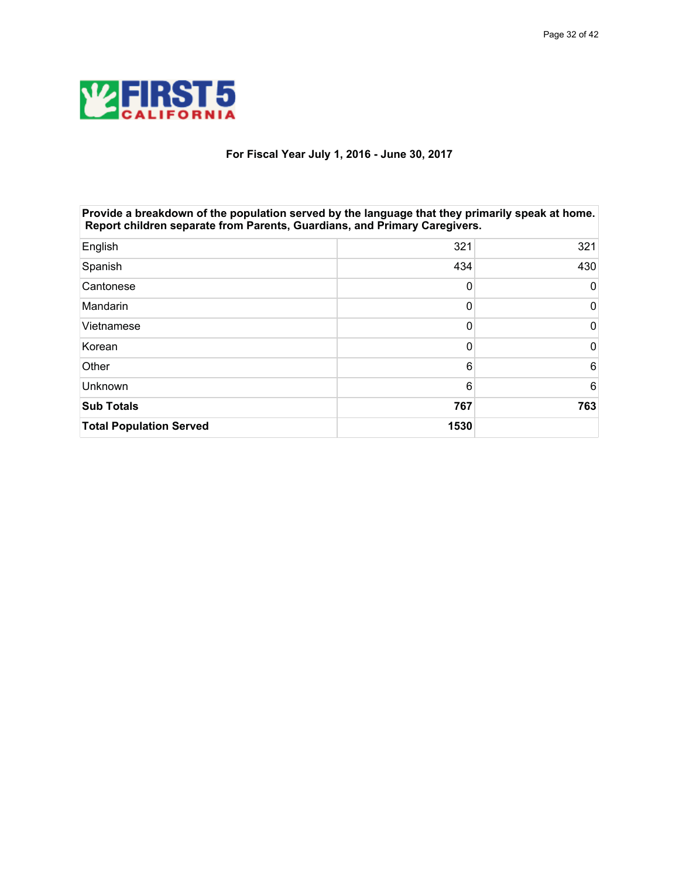

**Provide a breakdown of the population served by the language that they primarily speak at home. Report children separate from Parents, Guardians, and Primary Caregivers.**

| English                        | 321  | 321          |
|--------------------------------|------|--------------|
| Spanish                        | 434  | 430          |
| Cantonese                      | 0    | $\mathbf 0$  |
| Mandarin                       | 0    | 0            |
| Vietnamese                     | 0    | 0            |
| Korean                         | 0    | $\mathbf{0}$ |
| Other                          | 6    | 6            |
| Unknown                        | 6    | 6            |
| <b>Sub Totals</b>              | 767  | 763          |
| <b>Total Population Served</b> | 1530 |              |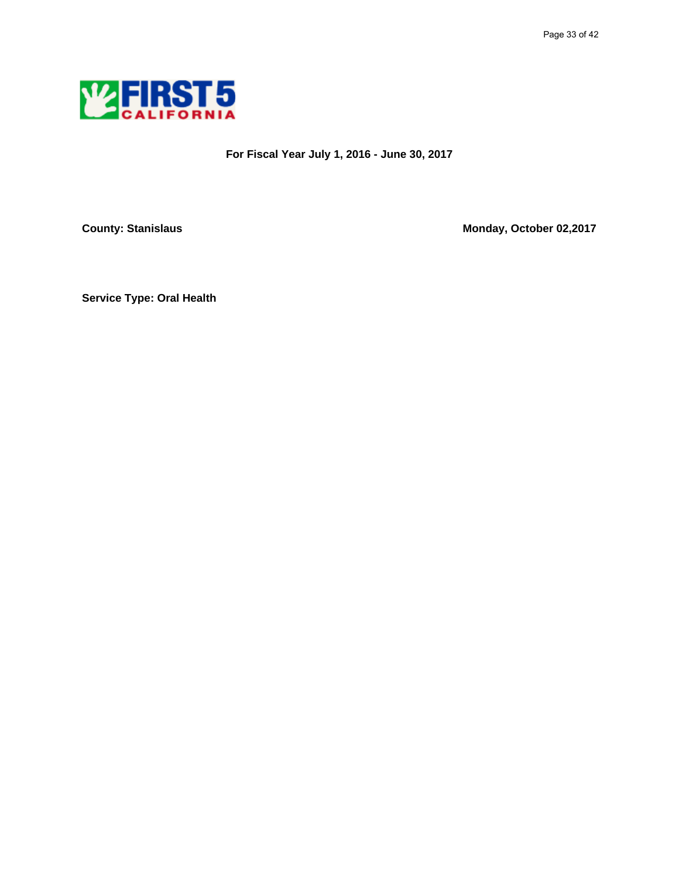

**County: Stanislaus County: Stanislaus Monday, October 02,2017** 

**Service Type: Oral Health**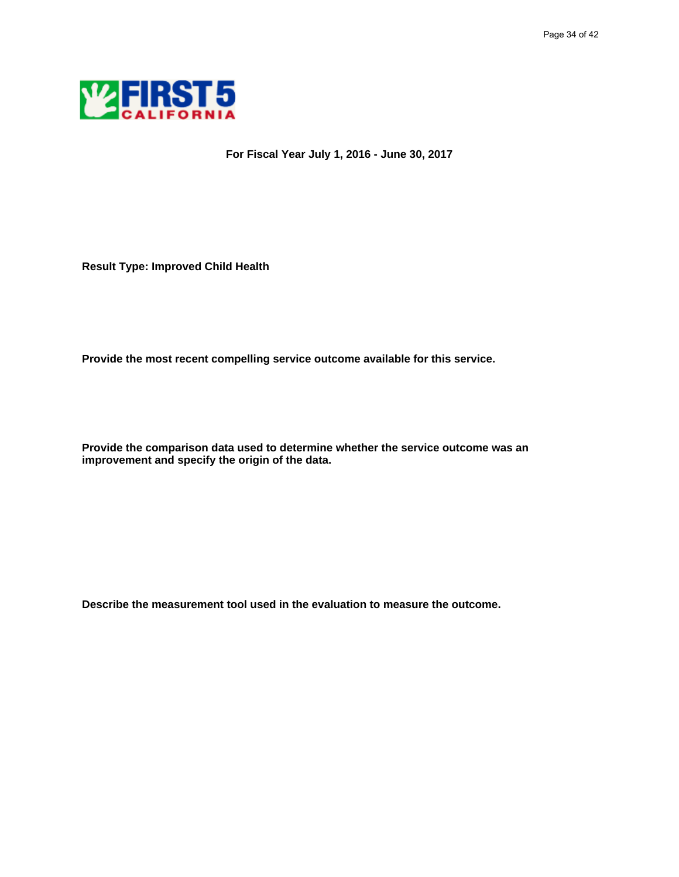

**Result Type: Improved Child Health**

**Provide the most recent compelling service outcome available for this service.**

**Provide the comparison data used to determine whether the service outcome was an improvement and specify the origin of the data.**

**Describe the measurement tool used in the evaluation to measure the outcome.**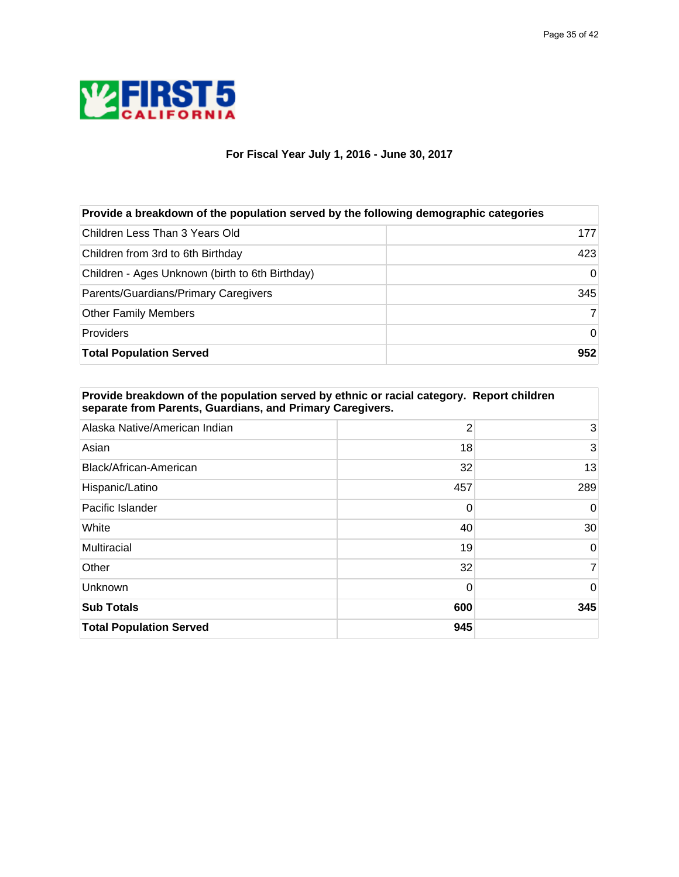

| Provide a breakdown of the population served by the following demographic categories |          |  |
|--------------------------------------------------------------------------------------|----------|--|
| Children Less Than 3 Years Old                                                       | 177      |  |
| Children from 3rd to 6th Birthday                                                    | 423      |  |
| Children - Ages Unknown (birth to 6th Birthday)                                      | $\Omega$ |  |
| Parents/Guardians/Primary Caregivers                                                 | 345      |  |
| <b>Other Family Members</b>                                                          |          |  |
| Providers                                                                            | 0        |  |
| <b>Total Population Served</b>                                                       | 952      |  |

| Provide breakdown of the population served by ethnic or racial category. Report children<br>separate from Parents, Guardians, and Primary Caregivers. |     |          |
|-------------------------------------------------------------------------------------------------------------------------------------------------------|-----|----------|
| Alaska Native/American Indian                                                                                                                         | 2   | 3        |
| Asian                                                                                                                                                 | 18  | 3        |
| Black/African-American                                                                                                                                | 32  | 13       |
| Hispanic/Latino                                                                                                                                       | 457 | 289      |
| Pacific Islander                                                                                                                                      | 0   | $\Omega$ |
| White                                                                                                                                                 | 40  | 30       |
| Multiracial                                                                                                                                           | 19  | $\Omega$ |
| Other                                                                                                                                                 | 32  |          |
| <b>Unknown</b>                                                                                                                                        | 0   | $\Omega$ |
| <b>Sub Totals</b>                                                                                                                                     | 600 | 345      |
| <b>Total Population Served</b>                                                                                                                        | 945 |          |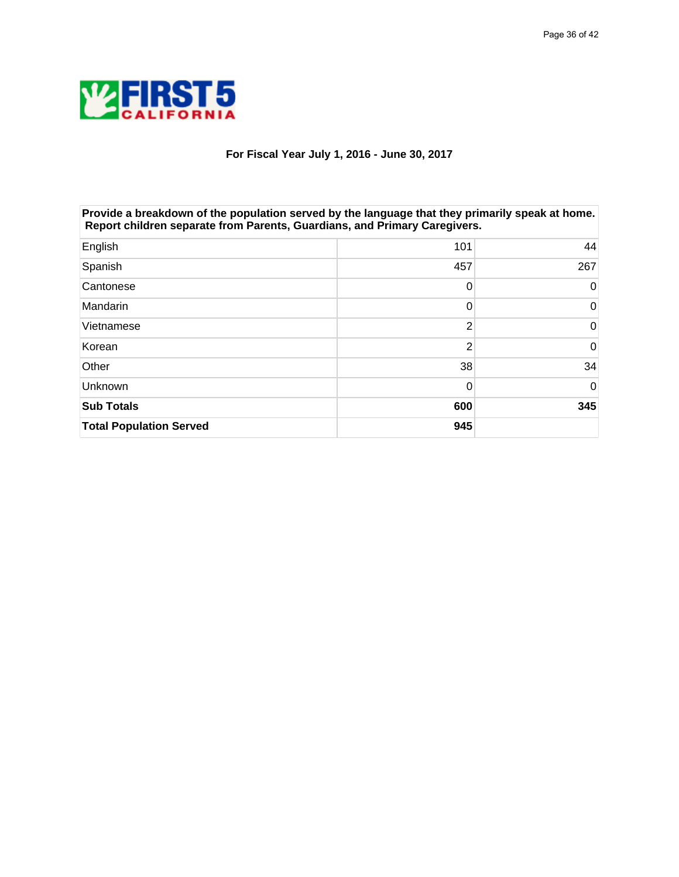

**Provide a breakdown of the population served by the language that they primarily speak at home. Report children separate from Parents, Guardians, and Primary Caregivers.**

| English                        | 101 | 44          |
|--------------------------------|-----|-------------|
| Spanish                        | 457 | 267         |
| Cantonese                      | 0   | 0           |
| Mandarin                       | 0   | 0           |
| Vietnamese                     | 2   | $\mathbf 0$ |
| Korean                         | 2   | $\mathbf 0$ |
| Other                          | 38  | 34          |
| Unknown                        | 0   | $\mathbf 0$ |
| <b>Sub Totals</b>              | 600 | 345         |
| <b>Total Population Served</b> | 945 |             |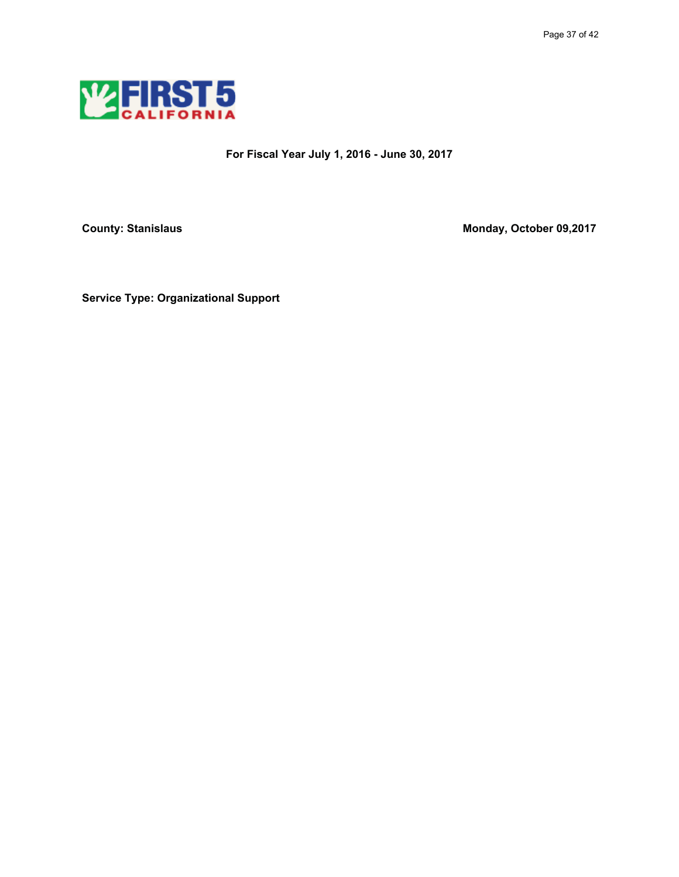

**County: Stanislaus County: Stanislaus Monday, October 09,2017** 

**Service Type: Organizational Support**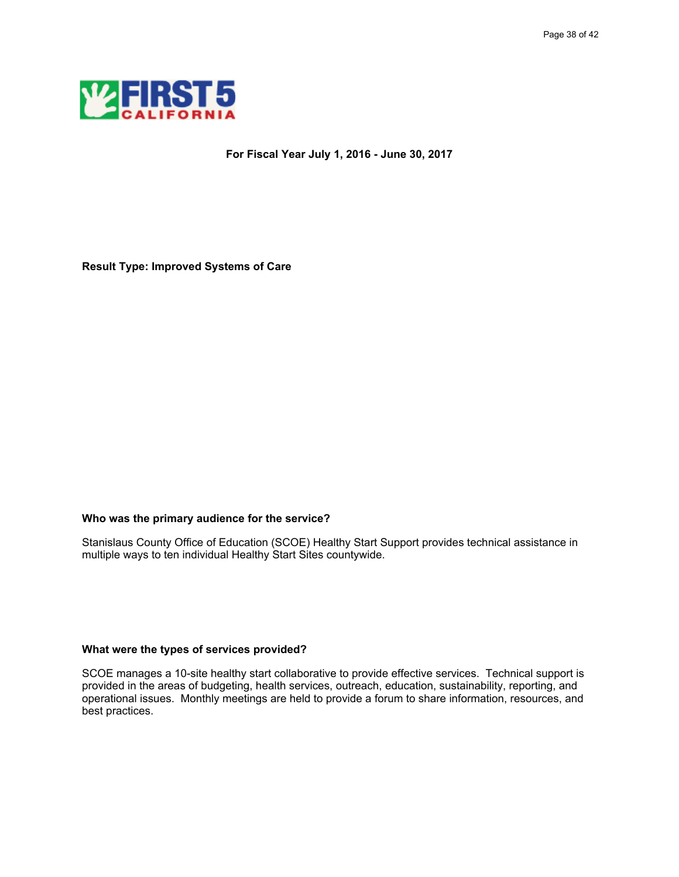

**Result Type: Improved Systems of Care**

#### **Who was the primary audience for the service?**

Stanislaus County Office of Education (SCOE) Healthy Start Support provides technical assistance in multiple ways to ten individual Healthy Start Sites countywide.

#### **What were the types of services provided?**

SCOE manages a 10-site healthy start collaborative to provide effective services. Technical support is provided in the areas of budgeting, health services, outreach, education, sustainability, reporting, and operational issues. Monthly meetings are held to provide a forum to share information, resources, and best practices.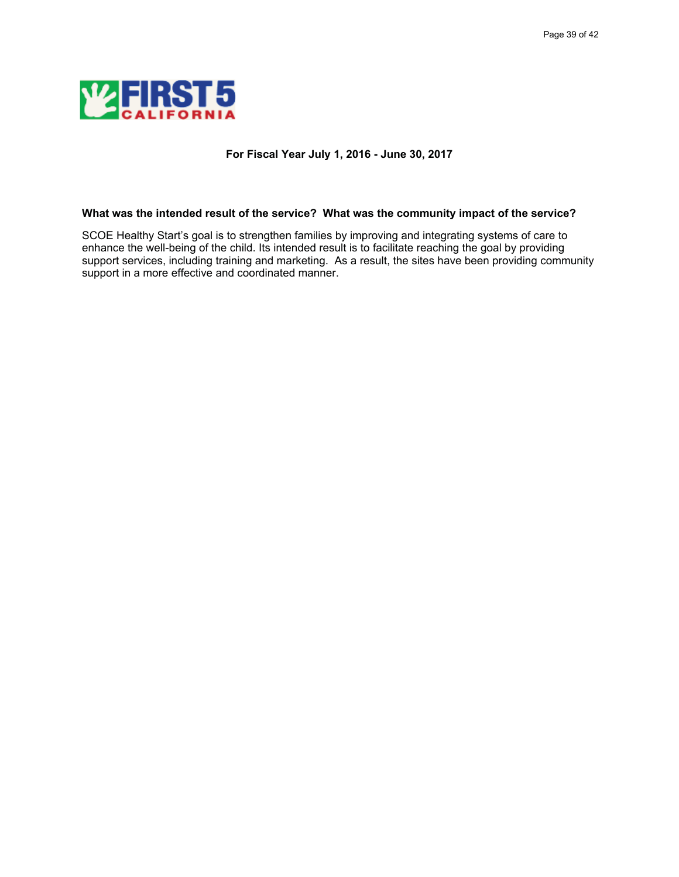

#### **What was the intended result of the service? What was the community impact of the service?**

SCOE Healthy Start's goal is to strengthen families by improving and integrating systems of care to enhance the well-being of the child. Its intended result is to facilitate reaching the goal by providing support services, including training and marketing. As a result, the sites have been providing community support in a more effective and coordinated manner.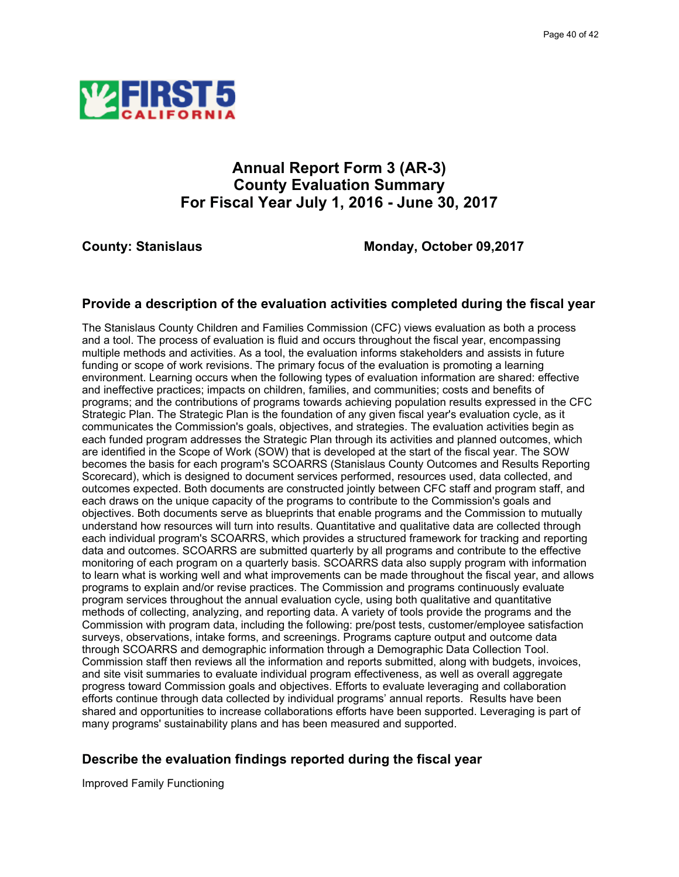

# **Annual Report Form 3 (AR-3) County Evaluation Summary For Fiscal Year July 1, 2016 - June 30, 2017**

**County: Stanislaus <b>Monday, October 09,2017** 

#### **Provide a description of the evaluation activities completed during the fiscal year**

The Stanislaus County Children and Families Commission (CFC) views evaluation as both a process and a tool. The process of evaluation is fluid and occurs throughout the fiscal year, encompassing multiple methods and activities. As a tool, the evaluation informs stakeholders and assists in future funding or scope of work revisions. The primary focus of the evaluation is promoting a learning environment. Learning occurs when the following types of evaluation information are shared: effective and ineffective practices; impacts on children, families, and communities; costs and benefits of programs; and the contributions of programs towards achieving population results expressed in the CFC Strategic Plan. The Strategic Plan is the foundation of any given fiscal year's evaluation cycle, as it communicates the Commission's goals, objectives, and strategies. The evaluation activities begin as each funded program addresses the Strategic Plan through its activities and planned outcomes, which are identified in the Scope of Work (SOW) that is developed at the start of the fiscal year. The SOW becomes the basis for each program's SCOARRS (Stanislaus County Outcomes and Results Reporting Scorecard), which is designed to document services performed, resources used, data collected, and outcomes expected. Both documents are constructed jointly between CFC staff and program staff, and each draws on the unique capacity of the programs to contribute to the Commission's goals and objectives. Both documents serve as blueprints that enable programs and the Commission to mutually understand how resources will turn into results. Quantitative and qualitative data are collected through each individual program's SCOARRS, which provides a structured framework for tracking and reporting data and outcomes. SCOARRS are submitted quarterly by all programs and contribute to the effective monitoring of each program on a quarterly basis. SCOARRS data also supply program with information to learn what is working well and what improvements can be made throughout the fiscal year, and allows programs to explain and/or revise practices. The Commission and programs continuously evaluate program services throughout the annual evaluation cycle, using both qualitative and quantitative methods of collecting, analyzing, and reporting data. A variety of tools provide the programs and the Commission with program data, including the following: pre/post tests, customer/employee satisfaction surveys, observations, intake forms, and screenings. Programs capture output and outcome data through SCOARRS and demographic information through a Demographic Data Collection Tool. Commission staff then reviews all the information and reports submitted, along with budgets, invoices, and site visit summaries to evaluate individual program effectiveness, as well as overall aggregate progress toward Commission goals and objectives. Efforts to evaluate leveraging and collaboration efforts continue through data collected by individual programs' annual reports. Results have been shared and opportunities to increase collaborations efforts have been supported. Leveraging is part of many programs' sustainability plans and has been measured and supported.

#### **Describe the evaluation findings reported during the fiscal year**

Improved Family Functioning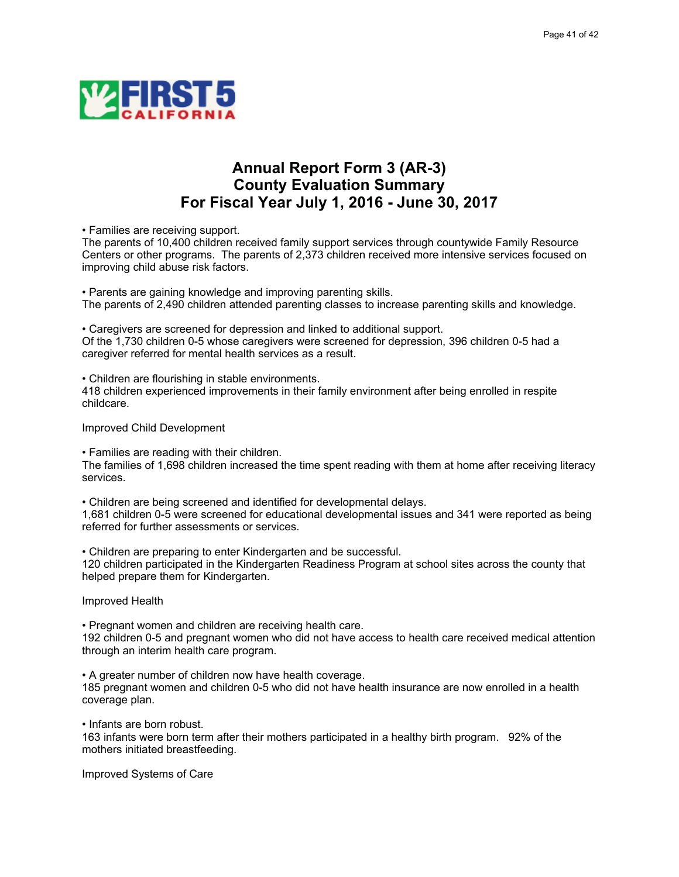

# **Annual Report Form 3 (AR-3) County Evaluation Summary For Fiscal Year July 1, 2016 - June 30, 2017**

• Families are receiving support.

The parents of 10,400 children received family support services through countywide Family Resource Centers or other programs. The parents of 2,373 children received more intensive services focused on improving child abuse risk factors.

• Parents are gaining knowledge and improving parenting skills. The parents of 2,490 children attended parenting classes to increase parenting skills and knowledge.

• Caregivers are screened for depression and linked to additional support. Of the 1,730 children 0-5 whose caregivers were screened for depression, 396 children 0-5 had a caregiver referred for mental health services as a result.

• Children are flourishing in stable environments.

418 children experienced improvements in their family environment after being enrolled in respite childcare.

Improved Child Development

• Families are reading with their children.

The families of 1,698 children increased the time spent reading with them at home after receiving literacy services.

• Children are being screened and identified for developmental delays.

1,681 children 0-5 were screened for educational developmental issues and 341 were reported as being referred for further assessments or services.

• Children are preparing to enter Kindergarten and be successful.

120 children participated in the Kindergarten Readiness Program at school sites across the county that helped prepare them for Kindergarten.

Improved Health

• Pregnant women and children are receiving health care.

192 children 0-5 and pregnant women who did not have access to health care received medical attention through an interim health care program.

• A greater number of children now have health coverage.

185 pregnant women and children 0-5 who did not have health insurance are now enrolled in a health coverage plan.

• Infants are born robust.

163 infants were born term after their mothers participated in a healthy birth program. 92% of the mothers initiated breastfeeding.

Improved Systems of Care